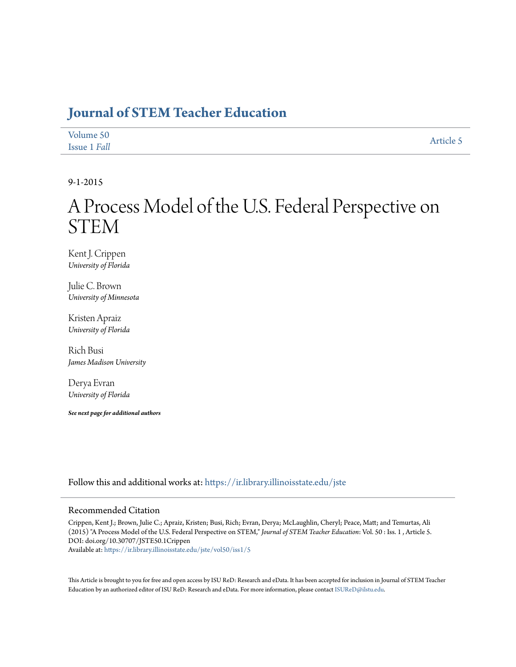### **[Journal of STEM Teacher Education](https://ir.library.illinoisstate.edu/jste?utm_source=ir.library.illinoisstate.edu%2Fjste%2Fvol50%2Fiss1%2F5&utm_medium=PDF&utm_campaign=PDFCoverPages)**

| Volume 50    | Article 5 |
|--------------|-----------|
| Issue 1 Fall |           |

9-1-2015

# A Process Model of the U.S. Federal Perspective on STEM

Kent J. Crippen *University of Florida*

Julie C. Brown *University of Minnesota*

Kristen Apraiz *University of Florida*

Rich Busi *James Madison University*

Derya Evran *University of Florida*

*See next page for additional authors*

Follow this and additional works at: [https://ir.library.illinoisstate.edu/jste](https://ir.library.illinoisstate.edu/jste?utm_source=ir.library.illinoisstate.edu%2Fjste%2Fvol50%2Fiss1%2F5&utm_medium=PDF&utm_campaign=PDFCoverPages)

#### Recommended Citation

Crippen, Kent J.; Brown, Julie C.; Apraiz, Kristen; Busi, Rich; Evran, Derya; McLaughlin, Cheryl; Peace, Matt; and Temurtas, Ali (2015) "A Process Model of the U.S. Federal Perspective on STEM," *Journal of STEM Teacher Education*: Vol. 50 : Iss. 1 , Article 5. DOI: doi.org/10.30707/JSTE50.1Crippen Available at: [https://ir.library.illinoisstate.edu/jste/vol50/iss1/5](https://ir.library.illinoisstate.edu/jste/vol50/iss1/5?utm_source=ir.library.illinoisstate.edu%2Fjste%2Fvol50%2Fiss1%2F5&utm_medium=PDF&utm_campaign=PDFCoverPages)

This Article is brought to you for free and open access by ISU ReD: Research and eData. It has been accepted for inclusion in Journal of STEM Teacher Education by an authorized editor of ISU ReD: Research and eData. For more information, please contact [ISUReD@ilstu.edu.](mailto:ISUReD@ilstu.edu)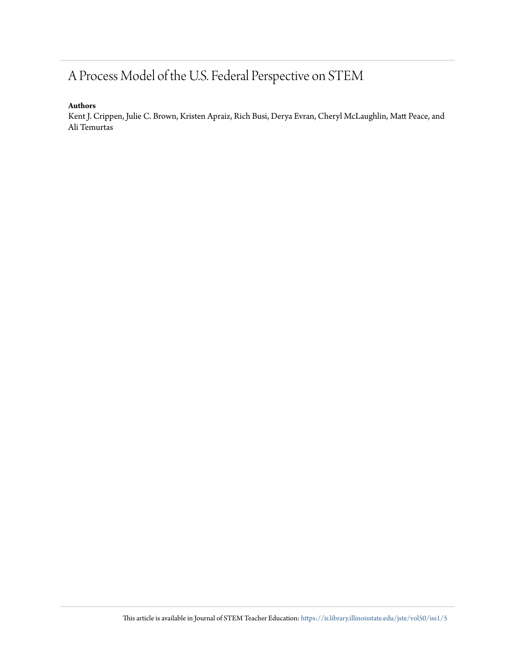## A Process Model of the U.S. Federal Perspective on STEM

#### **Authors**

Kent J. Crippen, Julie C. Brown, Kristen Apraiz, Rich Busi, Derya Evran, Cheryl McLaughlin, Matt Peace, and Ali Temurtas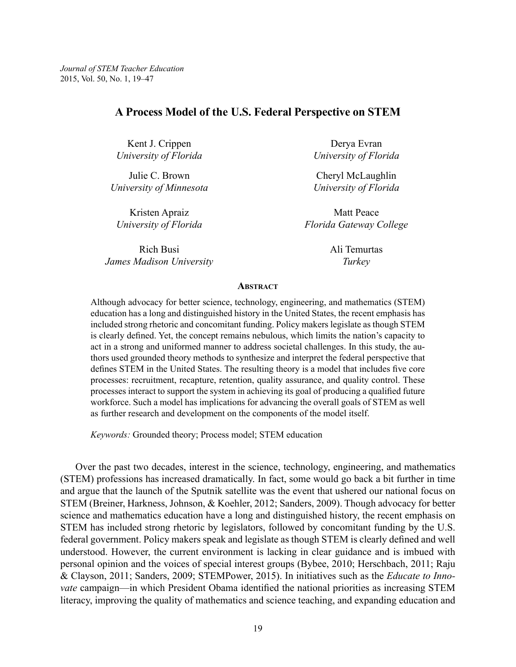#### **A Process Model of the U.S. Federal Perspective on STEM**

Kent J. Crippen *University of Florida*

Julie C. Brown *University of Minnesota*

Kristen Apraiz *University of Florida*

Rich Busi *James Madison University*

Derya Evran *University of Florida*

Cheryl McLaughlin *University of Florida*

Matt Peace *Florida Gateway College*

> Ali Temurtas *Turkey*

#### **Abstract**

Although advocacy for better science, technology, engineering, and mathematics (STEM) education has a long and distinguished history in the United States, the recent emphasis has included strong rhetoric and concomitant funding. Policy makers legislate as though STEM is clearly defined. Yet, the concept remains nebulous, which limits the nation's capacity to act in a strong and uniformed manner to address societal challenges. In this study, the authors used grounded theory methods to synthesize and interpret the federal perspective that defines STEM in the United States. The resulting theory is a model that includes five core processes: recruitment, recapture, retention, quality assurance, and quality control. These processes interact to support the system in achieving its goal of producing a qualified future workforce. Such a model has implications for advancing the overall goals of STEM as well as further research and development on the components of the model itself.

*Keywords:* Grounded theory; Process model; STEM education

Over the past two decades, interest in the science, technology, engineering, and mathematics (STEM) professions has increased dramatically. In fact, some would go back a bit further in time and argue that the launch of the Sputnik satellite was the event that ushered our national focus on STEM (Breiner, Harkness, Johnson, & Koehler, 2012; Sanders, 2009). Though advocacy for better science and mathematics education have a long and distinguished history, the recent emphasis on STEM has included strong rhetoric by legislators, followed by concomitant funding by the U.S. federal government. Policy makers speak and legislate as though STEM is clearly defined and well understood. However, the current environment is lacking in clear guidance and is imbued with personal opinion and the voices of special interest groups (Bybee, 2010; Herschbach, 2011; Raju & Clayson, 2011; Sanders, 2009; STEMPower, 2015). In initiatives such as the *Educate to Innovate* campaign—in which President Obama identified the national priorities as increasing STEM literacy, improving the quality of mathematics and science teaching, and expanding education and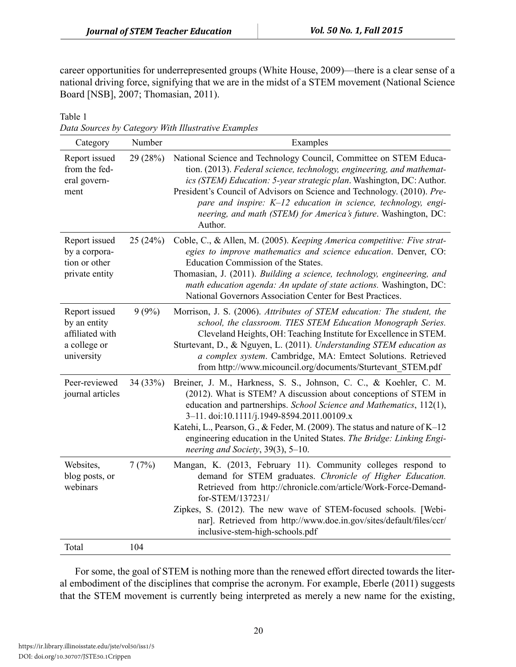career opportunities for underrepresented groups (White House, 2009)—there is a clear sense of a national driving force, signifying that we are in the midst of a STEM movement (National Science Board [NSB], 2007; Thomasian, 2011).

Table 1

*Data Sources by Category With Illustrative Examples*

| Category                                                                       | Number   | Examples                                                                                                                                                                                                                                                                                                                                                                                                                                              |
|--------------------------------------------------------------------------------|----------|-------------------------------------------------------------------------------------------------------------------------------------------------------------------------------------------------------------------------------------------------------------------------------------------------------------------------------------------------------------------------------------------------------------------------------------------------------|
| Report issued<br>from the fed-<br>eral govern-<br>ment                         | 29(28%)  | National Science and Technology Council, Committee on STEM Educa-<br>tion. (2013). Federal science, technology, engineering, and mathemat-<br>ics (STEM) Education: 5-year strategic plan. Washington, DC: Author.<br>President's Council of Advisors on Science and Technology. (2010). Pre-<br>pare and inspire: K-12 education in science, technology, engi-<br>neering, and math (STEM) for America's future. Washington, DC:<br>Author.          |
| Report issued<br>by a corpora-<br>tion or other<br>private entity              | 25(24%)  | Coble, C., & Allen, M. (2005). Keeping America competitive: Five strat-<br>egies to improve mathematics and science education. Denver, CO:<br>Education Commission of the States.<br>Thomasian, J. (2011). Building a science, technology, engineering, and<br>math education agenda: An update of state actions. Washington, DC:<br>National Governors Association Center for Best Practices.                                                        |
| Report issued<br>by an entity<br>affiliated with<br>a college or<br>university | 9(9%)    | Morrison, J. S. (2006). Attributes of STEM education: The student, the<br>school, the classroom. TIES STEM Education Monograph Series.<br>Cleveland Heights, OH: Teaching Institute for Excellence in STEM.<br>Sturtevant, D., & Nguyen, L. (2011). Understanding STEM education as<br>a complex system. Cambridge, MA: Emtect Solutions. Retrieved<br>from http://www.micouncil.org/documents/Sturtevant STEM.pdf                                    |
| Peer-reviewed<br>journal articles                                              | 34 (33%) | Breiner, J. M., Harkness, S. S., Johnson, C. C., & Koehler, C. M.<br>(2012). What is STEM? A discussion about conceptions of STEM in<br>education and partnerships. School Science and Mathematics, 112(1),<br>3-11. doi:10.1111/j.1949-8594.2011.00109.x<br>Katehi, L., Pearson, G., & Feder, M. (2009). The status and nature of K-12<br>engineering education in the United States. The Bridge: Linking Engi-<br>neering and Society, 39(3), 5-10. |
| Websites,<br>blog posts, or<br>webinars                                        | 7(7%)    | Mangan, K. (2013, February 11). Community colleges respond to<br>demand for STEM graduates. Chronicle of Higher Education.<br>Retrieved from http://chronicle.com/article/Work-Force-Demand-<br>for-STEM/137231/<br>Zipkes, S. (2012). The new wave of STEM-focused schools. [Webi-<br>nar]. Retrieved from http://www.doe.in.gov/sites/default/files/ccr/<br>inclusive-stem-high-schools.pdf                                                         |
| Total                                                                          | 104      |                                                                                                                                                                                                                                                                                                                                                                                                                                                       |

For some, the goal of STEM is nothing more than the renewed effort directed towards the literal embodiment of the disciplines that comprise the acronym. For example, Eberle (2011) suggests that the STEM movement is currently being interpreted as merely a new name for the existing,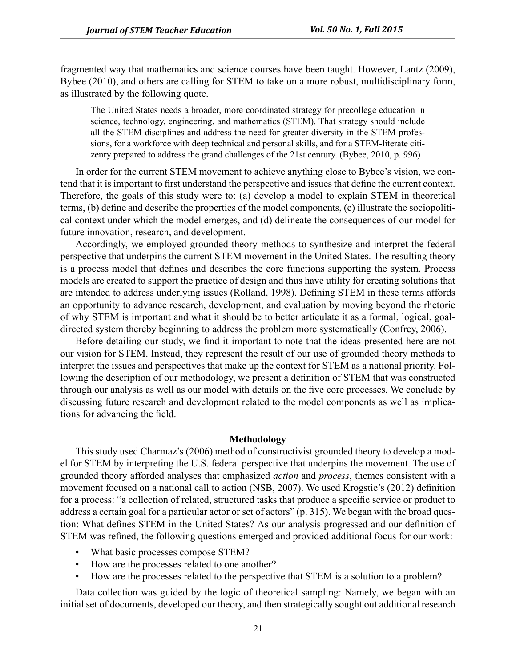fragmented way that mathematics and science courses have been taught. However, Lantz (2009), Bybee (2010), and others are calling for STEM to take on a more robust, multidisciplinary form, as illustrated by the following quote.

The United States needs a broader, more coordinated strategy for precollege education in science, technology, engineering, and mathematics (STEM). That strategy should include all the STEM disciplines and address the need for greater diversity in the STEM professions, for a workforce with deep technical and personal skills, and for a STEM-literate citizenry prepared to address the grand challenges of the 21st century. (Bybee, 2010, p. 996)

In order for the current STEM movement to achieve anything close to Bybee's vision, we contend that it is important to first understand the perspective and issues that define the current context. Therefore, the goals of this study were to: (a) develop a model to explain STEM in theoretical terms, (b) define and describe the properties of the model components, (c) illustrate the sociopolitical context under which the model emerges, and (d) delineate the consequences of our model for future innovation, research, and development.

Accordingly, we employed grounded theory methods to synthesize and interpret the federal perspective that underpins the current STEM movement in the United States. The resulting theory is a process model that defines and describes the core functions supporting the system. Process models are created to support the practice of design and thus have utility for creating solutions that are intended to address underlying issues (Rolland, 1998). Defining STEM in these terms affords an opportunity to advance research, development, and evaluation by moving beyond the rhetoric of why STEM is important and what it should be to better articulate it as a formal, logical, goaldirected system thereby beginning to address the problem more systematically (Confrey, 2006).

Before detailing our study, we find it important to note that the ideas presented here are not our vision for STEM. Instead, they represent the result of our use of grounded theory methods to interpret the issues and perspectives that make up the context for STEM as a national priority. Following the description of our methodology, we present a definition of STEM that was constructed through our analysis as well as our model with details on the five core processes. We conclude by discussing future research and development related to the model components as well as implications for advancing the field.

#### **Methodology**

This study used Charmaz's (2006) method of constructivist grounded theory to develop a model for STEM by interpreting the U.S. federal perspective that underpins the movement. The use of grounded theory afforded analyses that emphasized *action* and *process*, themes consistent with a movement focused on a national call to action (NSB, 2007). We used Krogstie's (2012) definition for a process: "a collection of related, structured tasks that produce a specific service or product to address a certain goal for a particular actor or set of actors" (p. 315). We began with the broad question: What defines STEM in the United States? As our analysis progressed and our definition of STEM was refined, the following questions emerged and provided additional focus for our work:

- What basic processes compose STEM?
- How are the processes related to one another?
- How are the processes related to the perspective that STEM is a solution to a problem?

Data collection was guided by the logic of theoretical sampling: Namely, we began with an initial set of documents, developed our theory, and then strategically sought out additional research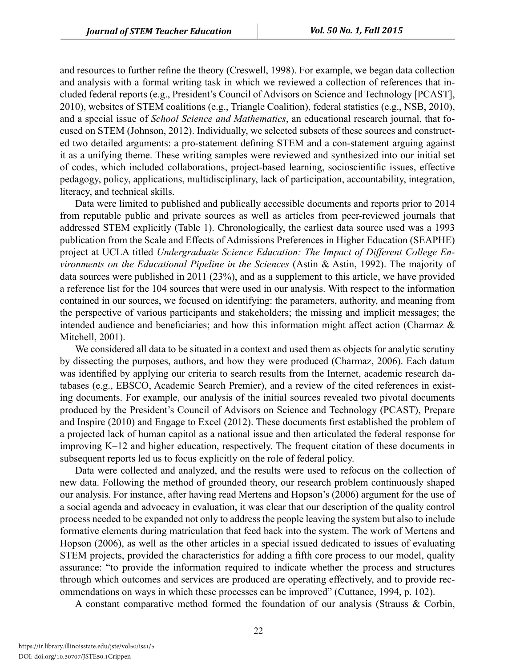and resources to further refine the theory (Creswell, 1998). For example, we began data collection and analysis with a formal writing task in which we reviewed a collection of references that included federal reports (e.g., President's Council of Advisors on Science and Technology [PCAST], 2010), websites of STEM coalitions (e.g., Triangle Coalition), federal statistics (e.g., NSB, 2010), and a special issue of *School Science and Mathematics*, an educational research journal, that focused on STEM (Johnson, 2012). Individually, we selected subsets of these sources and constructed two detailed arguments: a pro-statement defining STEM and a con-statement arguing against it as a unifying theme. These writing samples were reviewed and synthesized into our initial set of codes, which included collaborations, project-based learning, socioscientific issues, effective pedagogy, policy, applications, multidisciplinary, lack of participation, accountability, integration, literacy, and technical skills.

Data were limited to published and publically accessible documents and reports prior to 2014 from reputable public and private sources as well as articles from peer-reviewed journals that addressed STEM explicitly (Table 1). Chronologically, the earliest data source used was a 1993 publication from the Scale and Effects of Admissions Preferences in Higher Education (SEAPHE) project at UCLA titled *Undergraduate Science Education: The Impact of Different College Environments on the Educational Pipeline in the Sciences* (Astin & Astin, 1992). The majority of data sources were published in 2011 (23%), and as a supplement to this article, we have provided a reference list for the 104 sources that were used in our analysis. With respect to the information contained in our sources, we focused on identifying: the parameters, authority, and meaning from the perspective of various participants and stakeholders; the missing and implicit messages; the intended audience and beneficiaries; and how this information might affect action (Charmaz & Mitchell, 2001).

We considered all data to be situated in a context and used them as objects for analytic scrutiny by dissecting the purposes, authors, and how they were produced (Charmaz, 2006). Each datum was identified by applying our criteria to search results from the Internet, academic research databases (e.g., EBSCO, Academic Search Premier), and a review of the cited references in existing documents. For example, our analysis of the initial sources revealed two pivotal documents produced by the President's Council of Advisors on Science and Technology (PCAST), Prepare and Inspire (2010) and Engage to Excel (2012). These documents first established the problem of a projected lack of human capitol as a national issue and then articulated the federal response for improving K–12 and higher education, respectively. The frequent citation of these documents in subsequent reports led us to focus explicitly on the role of federal policy.

Data were collected and analyzed, and the results were used to refocus on the collection of new data. Following the method of grounded theory, our research problem continuously shaped our analysis. For instance, after having read Mertens and Hopson's (2006) argument for the use of a social agenda and advocacy in evaluation, it was clear that our description of the quality control process needed to be expanded not only to address the people leaving the system but also to include formative elements during matriculation that feed back into the system. The work of Mertens and Hopson (2006), as well as the other articles in a special issued dedicated to issues of evaluating STEM projects, provided the characteristics for adding a fifth core process to our model, quality assurance: "to provide the information required to indicate whether the process and structures through which outcomes and services are produced are operating effectively, and to provide recommendations on ways in which these processes can be improved" (Cuttance, 1994, p. 102).

A constant comparative method formed the foundation of our analysis (Strauss & Corbin,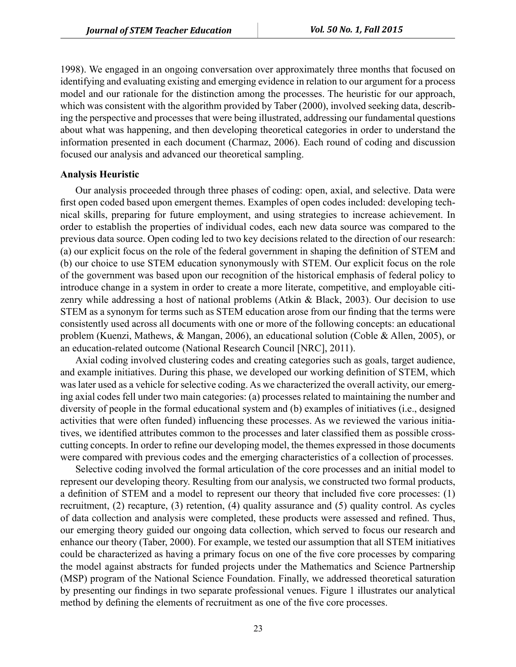1998). We engaged in an ongoing conversation over approximately three months that focused on identifying and evaluating existing and emerging evidence in relation to our argument for a process model and our rationale for the distinction among the processes. The heuristic for our approach, which was consistent with the algorithm provided by Taber (2000), involved seeking data, describing the perspective and processes that were being illustrated, addressing our fundamental questions about what was happening, and then developing theoretical categories in order to understand the information presented in each document (Charmaz, 2006). Each round of coding and discussion focused our analysis and advanced our theoretical sampling.

#### **Analysis Heuristic**

Our analysis proceeded through three phases of coding: open, axial, and selective. Data were first open coded based upon emergent themes. Examples of open codes included: developing technical skills, preparing for future employment, and using strategies to increase achievement. In order to establish the properties of individual codes, each new data source was compared to the previous data source. Open coding led to two key decisions related to the direction of our research: (a) our explicit focus on the role of the federal government in shaping the definition of STEM and (b) our choice to use STEM education synonymously with STEM. Our explicit focus on the role of the government was based upon our recognition of the historical emphasis of federal policy to introduce change in a system in order to create a more literate, competitive, and employable citizenry while addressing a host of national problems (Atkin & Black, 2003). Our decision to use STEM as a synonym for terms such as STEM education arose from our finding that the terms were consistently used across all documents with one or more of the following concepts: an educational problem (Kuenzi, Mathews, & Mangan, 2006), an educational solution (Coble & Allen, 2005), or an education-related outcome (National Research Council [NRC], 2011).

Axial coding involved clustering codes and creating categories such as goals, target audience, and example initiatives. During this phase, we developed our working definition of STEM, which was later used as a vehicle for selective coding. As we characterized the overall activity, our emerging axial codes fell under two main categories: (a) processes related to maintaining the number and diversity of people in the formal educational system and (b) examples of initiatives (i.e., designed activities that were often funded) influencing these processes. As we reviewed the various initiatives, we identified attributes common to the processes and later classified them as possible crosscutting concepts. In order to refine our developing model, the themes expressed in those documents were compared with previous codes and the emerging characteristics of a collection of processes.

Selective coding involved the formal articulation of the core processes and an initial model to represent our developing theory. Resulting from our analysis, we constructed two formal products, a definition of STEM and a model to represent our theory that included five core processes: (1) recruitment, (2) recapture, (3) retention, (4) quality assurance and (5) quality control. As cycles of data collection and analysis were completed, these products were assessed and refined. Thus, our emerging theory guided our ongoing data collection, which served to focus our research and enhance our theory (Taber, 2000). For example, we tested our assumption that all STEM initiatives could be characterized as having a primary focus on one of the five core processes by comparing the model against abstracts for funded projects under the Mathematics and Science Partnership (MSP) program of the National Science Foundation. Finally, we addressed theoretical saturation by presenting our findings in two separate professional venues. Figure 1 illustrates our analytical method by defining the elements of recruitment as one of the five core processes.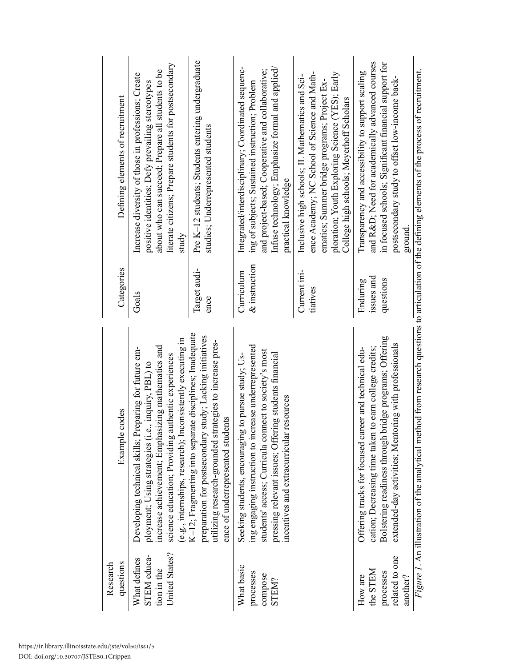| questions<br>Research                                        | Example codes                                                                                                                                                                                                                                                                        | Categories                     | Defining elements of recruitment                                                                                                                                                                                                               |
|--------------------------------------------------------------|--------------------------------------------------------------------------------------------------------------------------------------------------------------------------------------------------------------------------------------------------------------------------------------|--------------------------------|------------------------------------------------------------------------------------------------------------------------------------------------------------------------------------------------------------------------------------------------|
| United States?<br>STEM educa-<br>What defines<br>tion in the | (e.g., internships, research); Inconsistently executing in<br>increase achievement; Emphasizing mathematics and<br>Developing technical skills; Preparing for future em-<br>science education; Providing authentic experiences<br>ployment; Using strategies (i.e., inquiry, PBL) to | Goals                          | literate citizens; Prepare students for postsecondary<br>about who can succeed; Prepare all students to be<br>Increase diversity of those in professions; Create<br>positive identities; Defy prevailing stereotypes<br>study                  |
|                                                              | K-12; Fragmenting into separate disciplines; Inadequate<br>preparation for postsecondary study; Lacking initiatives<br>utilizing research-grounded strategies to increase pres-<br>ence of underrepresented students                                                                 | Target audi-<br>ence           | Pre K-12 students; Students entering undergraduate<br>studies; Underrepresented students                                                                                                                                                       |
| What basic<br>processes<br>compose<br>STEM?                  | ing engaging instruction to increase underrepresented<br>students' access; Curricula connect to society's most<br>pressing relevant issues; Offering students financial<br>Seeking students, encouraging to pursue study; Us-<br>resources<br>incentives and extracurricular         | $\&$ instruction<br>Curriculum | Integrated/interdisciplinary; Coordinated sequenc-<br>Infuse technology; Emphasize formal and applied/<br>and project-based; Cooperative and collaborative;<br>ing of subjects; Sustained instruction; Problem<br>practical knowledge          |
|                                                              |                                                                                                                                                                                                                                                                                      | Current ini-<br>tiatives       | ence Academy; NC School of Science and Math-<br>ploration; Youth Exploring Science (YES); Early<br>Inclusive high schools; IL Mathematics and Sci-<br>ematics; Summer bridge programs; Project Ex-<br>College high schools; Meyerhoff Scholars |
| the STEM<br>processes<br>How are                             | Bolstering readiness through bridge programs; Offering<br>cation; Decreasing time taken to earn college credits;<br>Offering tracks for focused career and technical edu-                                                                                                            | issues and<br>Enduring         | and R&D Need for academically advanced courses<br>in focused schools; Significant financial support for<br>Transparency and accessibility to support scaling                                                                                   |
| related to one<br>another?                                   | extended-day activities; Mentoring with professionals                                                                                                                                                                                                                                | questions                      | postsecondary study to offset low-income back-<br>ground.                                                                                                                                                                                      |
|                                                              | Figure 1. An illustration of the analytical method from research questions to articulation of the defining elements of the process of recruitment.                                                                                                                                   |                                |                                                                                                                                                                                                                                                |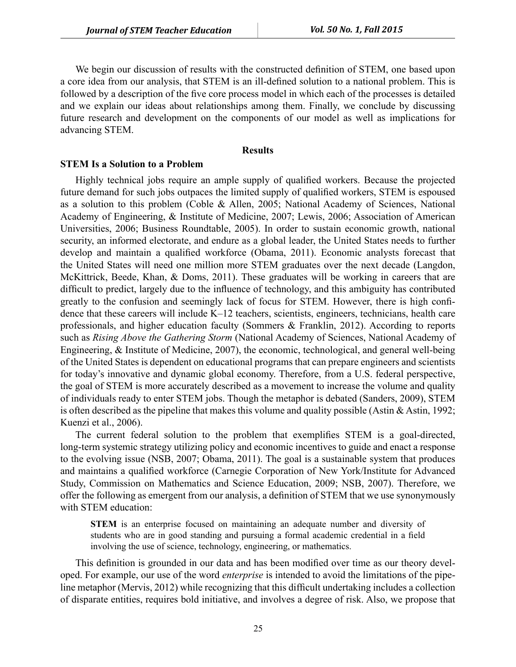We begin our discussion of results with the constructed definition of STEM, one based upon a core idea from our analysis, that STEM is an ill-defined solution to a national problem. This is followed by a description of the five core process model in which each of the processes is detailed and we explain our ideas about relationships among them. Finally, we conclude by discussing future research and development on the components of our model as well as implications for advancing STEM.

#### **Results**

#### **STEM Is a Solution to a Problem**

Highly technical jobs require an ample supply of qualified workers. Because the projected future demand for such jobs outpaces the limited supply of qualified workers, STEM is espoused as a solution to this problem (Coble & Allen, 2005; National Academy of Sciences, National Academy of Engineering, & Institute of Medicine, 2007; Lewis, 2006; Association of American Universities, 2006; Business Roundtable, 2005). In order to sustain economic growth, national security, an informed electorate, and endure as a global leader, the United States needs to further develop and maintain a qualified workforce (Obama, 2011). Economic analysts forecast that the United States will need one million more STEM graduates over the next decade (Langdon, McKittrick, Beede, Khan, & Doms, 2011). These graduates will be working in careers that are difficult to predict, largely due to the influence of technology, and this ambiguity has contributed greatly to the confusion and seemingly lack of focus for STEM. However, there is high confidence that these careers will include K–12 teachers, scientists, engineers, technicians, health care professionals, and higher education faculty (Sommers & Franklin, 2012). According to reports such as *Rising Above the Gathering Storm* (National Academy of Sciences, National Academy of Engineering, & Institute of Medicine, 2007), the economic, technological, and general well-being of the United States is dependent on educational programs that can prepare engineers and scientists for today's innovative and dynamic global economy. Therefore, from a U.S. federal perspective, the goal of STEM is more accurately described as a movement to increase the volume and quality of individuals ready to enter STEM jobs. Though the metaphor is debated (Sanders, 2009), STEM is often described as the pipeline that makes this volume and quality possible (Astin & Astin, 1992; Kuenzi et al., 2006).

The current federal solution to the problem that exemplifies STEM is a goal-directed, long-term systemic strategy utilizing policy and economic incentives to guide and enact a response to the evolving issue (NSB, 2007; Obama, 2011). The goal is a sustainable system that produces and maintains a qualified workforce (Carnegie Corporation of New York/Institute for Advanced Study, Commission on Mathematics and Science Education, 2009; NSB, 2007). Therefore, we offer the following as emergent from our analysis, a definition of STEM that we use synonymously with STEM education:

**STEM** is an enterprise focused on maintaining an adequate number and diversity of students who are in good standing and pursuing a formal academic credential in a field involving the use of science, technology, engineering, or mathematics.

This definition is grounded in our data and has been modified over time as our theory developed. For example, our use of the word *enterprise* is intended to avoid the limitations of the pipeline metaphor (Mervis, 2012) while recognizing that this difficult undertaking includes a collection of disparate entities, requires bold initiative, and involves a degree of risk. Also, we propose that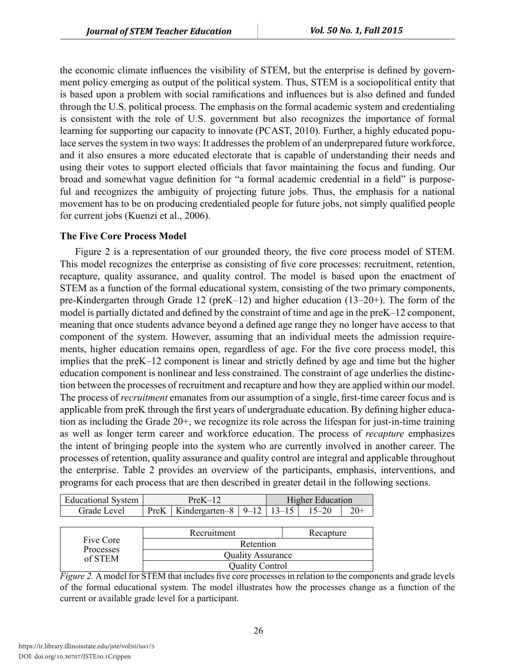the economic climate influences the visibility of STEM, but the enterprise is defined by government policy emerging as output of the political system. Thus, STEM is a sociopolitical entity that is based upon a problem with social ramifications and influences but is also defined and funded through the U.S. political process. The emphasis on the formal academic system and credentialing is consistent with the role of U.S. government but also recognizes the importance of formal learning for supporting our capacity to innovate (PCAST, 2010). Further, a highly educated populace serves the system in two ways: It addresses the problem of an underprepared future workforce, and it also ensures a more educated electorate that is capable of understanding their needs and using their votes to support elected officials that favor maintaining the focus and funding. Our broad and somewhat vague definition for "a formal academic credential in a field" is purposeful and recognizes the ambiguity of projecting future jobs. Thus, the emphasis for a national movement has to be on producing credentialed people for future jobs, not simply qualified people for current jobs (Kuenzi et al., 2006).

#### **The Five Core Process Model**

Figure 2 is a representation of our grounded theory, the five core process model of STEM. This model recognizes the enterprise as consisting of five core processes: recruitment, retention, recapture, quality assurance, and quality control. The model is based upon the enactment of STEM as a function of the formal educational system, consisting of the two primary components, pre-Kindergarten through Grade 12 (preK–12) and higher education (13–20+). The form of the model is partially dictated and defined by the constraint of time and age in the preK–12 component, meaning that once students advance beyond a defined age range they no longer have access to that component of the system. However, assuming that an individual meets the admission requirements, higher education remains open, regardless of age. For the five core process model, this implies that the preK–12 component is linear and strictly defined by age and time but the higher education component is nonlinear and less constrained. The constraint of age underlies the distinction between the processes of recruitment and recapture and how they are applied within our model. The process of *recruitment* emanates from our assumption of a single, first-time career focus and is applicable from preK through the first years of undergraduate education. By defining higher education as including the Grade 20+, we recognize its role across the lifespan for just-in-time training as well as longer term career and workforce education. The process of *recapture* emphasizes the intent of bringing people into the system who are currently involved in another career. The processes of retention, quality assurance and quality control are integral and applicable throughout the enterprise. Table 2 provides an overview of the participants, emphasis, interventions, and programs for each process that are then described in greater detail in the following sections.

| <b>Educational System</b> |                                                  |  | <b>Higher Education</b> |  |
|---------------------------|--------------------------------------------------|--|-------------------------|--|
| Grade Level .             | $ $ PreK   Kindergarten-8   9–12   13–15   15–20 |  |                         |  |

|                      | Recruitment              | Recapture |
|----------------------|--------------------------|-----------|
| Five Core            | Retention                |           |
| Processes<br>of STEM | <b>Quality Assurance</b> |           |
|                      | <b>Quality Control</b>   |           |

*Figure 2.* A model for STEM that includes five core processes in relation to the components and grade levels of the formal educational system. The model illustrates how the processes change as a function of the current or available grade level for a participant.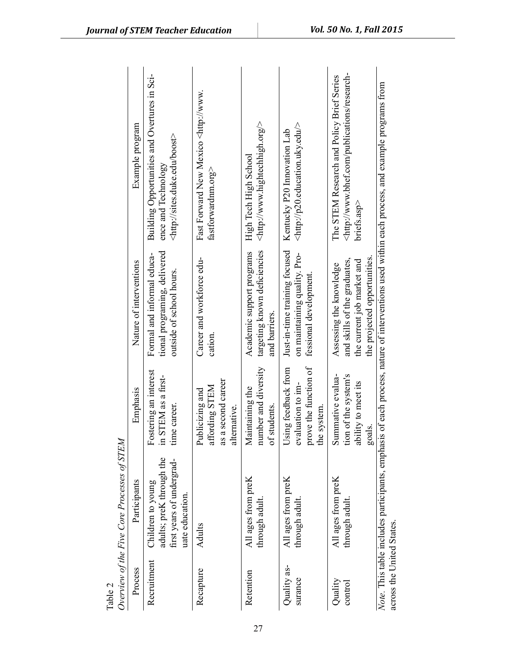| Table 2                   | Overview of the Five Core Processes of STEM                                                   |                                                                                  |                                                                                                                       |                                                                                                                                          |
|---------------------------|-----------------------------------------------------------------------------------------------|----------------------------------------------------------------------------------|-----------------------------------------------------------------------------------------------------------------------|------------------------------------------------------------------------------------------------------------------------------------------|
| Process                   | Participants                                                                                  | Emphasis                                                                         | Nature of interventions                                                                                               | Example program                                                                                                                          |
| Recruitment               | adults; preK through the<br>first years of undergrad-<br>Children to young<br>uate education. | Fostering an interest<br>in STEM as a first-<br>time career.                     | tional programing, delivered<br>Formal and informal educa-<br>outside of school hours.                                | Building Opportunities and Overtures in Sci-<br><http: boost="" sites.duke.edu=""><br/>ence and Technology</http:>                       |
| Recapture                 | Adults                                                                                        | second career<br>affording STEM<br>Publicizing and<br>alternative.<br>as a       | Career and workforce edu-<br>cation.                                                                                  | Fast Forward New Mexico <http: www.<br="">fastforwardnm.org&gt;</http:>                                                                  |
| Retention                 | All ages from preK<br>through adult                                                           | number and diversity<br>Maintaining the<br>of students.                          | targeting known deficiencies<br>Academic support programs<br>and barriers.                                            | <http: www.hightechhigh.org=""></http:><br>High Tech High School                                                                         |
| Quality as-<br>surance    | All ages from preK<br>through adult                                                           | prove the function of<br>Using feedback from<br>evaluation to im-<br>the system. | Just-in-time training focused<br>on maintaining quality. Pro-<br>fessional development.                               | $<$ http://p20.education.uky.edu/><br>Kentucky P20 Innovation Lab                                                                        |
| Quality<br>control        | All ages from preK<br>through adult                                                           | Summative evalua-<br>tion of the system's<br>ability to meet its<br>goals.       | the projected opportunities.<br>and skills of the graduates,<br>the current job market and<br>Assessing the knowledge | <http: publications="" research-<br="" www.bhef.com="">The STEM Research and Policy Brief Series<br/><math>bricks.</math>asp&gt;</http:> |
| across the United States. | Note. This table includes participants, emphasis                                              |                                                                                  |                                                                                                                       | of each process, nature of interventions used within each process, and example programs from                                             |

*Journal of STEM Teacher Education Vol. 50 No. 1, Fall 2015*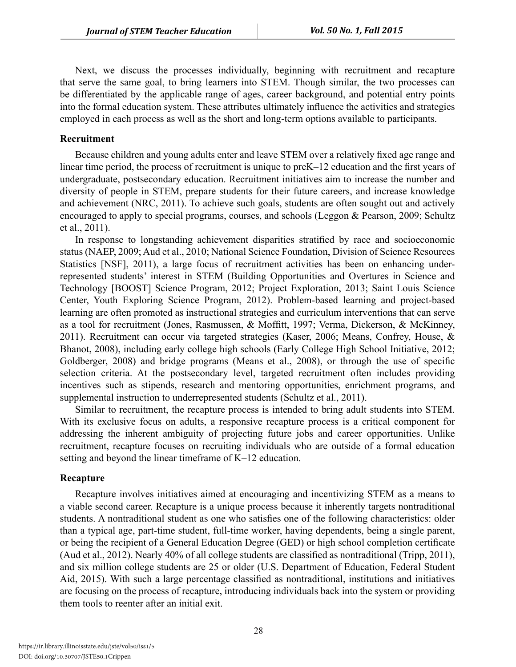Next, we discuss the processes individually, beginning with recruitment and recapture that serve the same goal, to bring learners into STEM. Though similar, the two processes can be differentiated by the applicable range of ages, career background, and potential entry points into the formal education system. These attributes ultimately influence the activities and strategies employed in each process as well as the short and long-term options available to participants.

#### **Recruitment**

Because children and young adults enter and leave STEM over a relatively fixed age range and linear time period, the process of recruitment is unique to preK–12 education and the first years of undergraduate, postsecondary education. Recruitment initiatives aim to increase the number and diversity of people in STEM, prepare students for their future careers, and increase knowledge and achievement (NRC, 2011). To achieve such goals, students are often sought out and actively encouraged to apply to special programs, courses, and schools (Leggon & Pearson, 2009; Schultz et al., 2011).

In response to longstanding achievement disparities stratified by race and socioeconomic status (NAEP, 2009; Aud et al., 2010; National Science Foundation, Division of Science Resources Statistics [NSF], 2011), a large focus of recruitment activities has been on enhancing underrepresented students' interest in STEM (Building Opportunities and Overtures in Science and Technology [BOOST] Science Program, 2012; Project Exploration, 2013; Saint Louis Science Center, Youth Exploring Science Program, 2012). Problem-based learning and project-based learning are often promoted as instructional strategies and curriculum interventions that can serve as a tool for recruitment (Jones, Rasmussen, & Moffitt, 1997; Verma, Dickerson, & McKinney, 2011). Recruitment can occur via targeted strategies (Kaser, 2006; Means, Confrey, House, & Bhanot, 2008), including early college high schools (Early College High School Initiative, 2012; Goldberger, 2008) and bridge programs (Means et al., 2008), or through the use of specific selection criteria. At the postsecondary level, targeted recruitment often includes providing incentives such as stipends, research and mentoring opportunities, enrichment programs, and supplemental instruction to underrepresented students (Schultz et al., 2011).

Similar to recruitment, the recapture process is intended to bring adult students into STEM. With its exclusive focus on adults, a responsive recapture process is a critical component for addressing the inherent ambiguity of projecting future jobs and career opportunities. Unlike recruitment, recapture focuses on recruiting individuals who are outside of a formal education setting and beyond the linear timeframe of K–12 education.

#### **Recapture**

Recapture involves initiatives aimed at encouraging and incentivizing STEM as a means to a viable second career. Recapture is a unique process because it inherently targets nontraditional students. A nontraditional student as one who satisfies one of the following characteristics: older than a typical age, part-time student, full-time worker, having dependents, being a single parent, or being the recipient of a General Education Degree (GED) or high school completion certificate (Aud et al., 2012). Nearly 40% of all college students are classified as nontraditional (Tripp, 2011), and six million college students are 25 or older (U.S. Department of Education, Federal Student Aid, 2015). With such a large percentage classified as nontraditional, institutions and initiatives are focusing on the process of recapture, introducing individuals back into the system or providing them tools to reenter after an initial exit.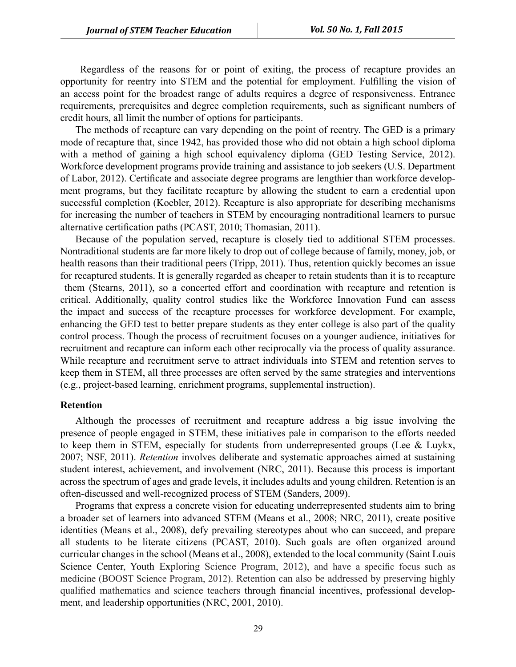Regardless of the reasons for or point of exiting, the process of recapture provides an opportunity for reentry into STEM and the potential for employment. Fulfilling the vision of an access point for the broadest range of adults requires a degree of responsiveness. Entrance requirements, prerequisites and degree completion requirements, such as significant numbers of credit hours, all limit the number of options for participants.

The methods of recapture can vary depending on the point of reentry. The GED is a primary mode of recapture that, since 1942, has provided those who did not obtain a high school diploma with a method of gaining a high school equivalency diploma (GED Testing Service, 2012). Workforce development programs provide training and assistance to job seekers (U.S. Department of Labor, 2012). Certificate and associate degree programs are lengthier than workforce development programs, but they facilitate recapture by allowing the student to earn a credential upon successful completion (Koebler, 2012). Recapture is also appropriate for describing mechanisms for increasing the number of teachers in STEM by encouraging nontraditional learners to pursue alternative certification paths (PCAST, 2010; Thomasian, 2011).

Because of the population served, recapture is closely tied to additional STEM processes. Nontraditional students are far more likely to drop out of college because of family, money, job, or health reasons than their traditional peers (Tripp, 2011). Thus, retention quickly becomes an issue for recaptured students. It is generally regarded as cheaper to retain students than it is to recapture them (Stearns, 2011), so a concerted effort and coordination with recapture and retention is critical. Additionally, quality control studies like the Workforce Innovation Fund can assess the impact and success of the recapture processes for workforce development. For example, enhancing the GED test to better prepare students as they enter college is also part of the quality control process. Though the process of recruitment focuses on a younger audience, initiatives for recruitment and recapture can inform each other reciprocally via the process of quality assurance. While recapture and recruitment serve to attract individuals into STEM and retention serves to keep them in STEM, all three processes are often served by the same strategies and interventions (e.g., project-based learning, enrichment programs, supplemental instruction).

#### **Retention**

Although the processes of recruitment and recapture address a big issue involving the presence of people engaged in STEM, these initiatives pale in comparison to the efforts needed to keep them in STEM, especially for students from underrepresented groups (Lee & Luykx, 2007; NSF, 2011). *Retention* involves deliberate and systematic approaches aimed at sustaining student interest, achievement, and involvement (NRC, 2011). Because this process is important across the spectrum of ages and grade levels, it includes adults and young children. Retention is an often-discussed and well-recognized process of STEM (Sanders, 2009).

Programs that express a concrete vision for educating underrepresented students aim to bring a broader set of learners into advanced STEM (Means et al., 2008; NRC, 2011), create positive identities (Means et al., 2008), defy prevailing stereotypes about who can succeed, and prepare all students to be literate citizens (PCAST, 2010). Such goals are often organized around curricular changes in the school (Means et al., 2008), extended to the local community (Saint Louis Science Center, Youth Exploring Science Program, 2012), and have a specific focus such as medicine (BOOST Science Program, 2012). Retention can also be addressed by preserving highly qualified mathematics and science teachers through financial incentives, professional development, and leadership opportunities (NRC, 2001, 2010).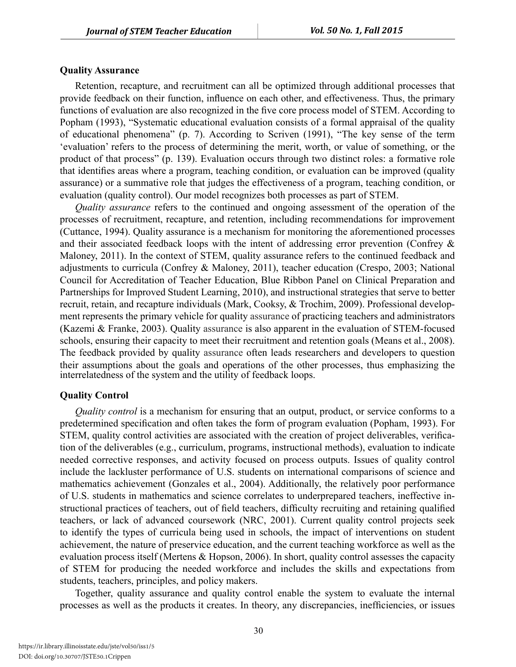#### **Quality Assurance**

Retention, recapture, and recruitment can all be optimized through additional processes that provide feedback on their function, influence on each other, and effectiveness. Thus, the primary functions of evaluation are also recognized in the five core process model of STEM. According to Popham (1993), "Systematic educational evaluation consists of a formal appraisal of the quality of educational phenomena" (p. 7). According to Scriven (1991), "The key sense of the term 'evaluation' refers to the process of determining the merit, worth, or value of something, or the product of that process" (p. 139). Evaluation occurs through two distinct roles: a formative role that identifies areas where a program, teaching condition, or evaluation can be improved (quality assurance) or a summative role that judges the effectiveness of a program, teaching condition, or evaluation (quality control). Our model recognizes both processes as part of STEM.

*Quality assurance* refers to the continued and ongoing assessment of the operation of the processes of recruitment, recapture, and retention, including recommendations for improvement (Cuttance, 1994). Quality assurance is a mechanism for monitoring the aforementioned processes and their associated feedback loops with the intent of addressing error prevention (Confrey & Maloney, 2011). In the context of STEM, quality assurance refers to the continued feedback and adjustments to curricula (Confrey & Maloney, 2011), teacher education (Crespo, 2003; National Council for Accreditation of Teacher Education, Blue Ribbon Panel on Clinical Preparation and Partnerships for Improved Student Learning, 2010), and instructional strategies that serve to better recruit, retain, and recapture individuals (Mark, Cooksy, & Trochim, 2009). Professional development represents the primary vehicle for quality assurance of practicing teachers and administrators (Kazemi & Franke, 2003). Quality assurance is also apparent in the evaluation of STEM-focused schools, ensuring their capacity to meet their recruitment and retention goals (Means et al., 2008). The feedback provided by quality assurance often leads researchers and developers to question their assumptions about the goals and operations of the other processes, thus emphasizing the interrelatedness of the system and the utility of feedback loops.

#### **Quality Control**

*Quality control* is a mechanism for ensuring that an output, product, or service conforms to a predetermined specification and often takes the form of program evaluation (Popham, 1993). For STEM, quality control activities are associated with the creation of project deliverables, verification of the deliverables (e.g., curriculum, programs, instructional methods), evaluation to indicate needed corrective responses, and activity focused on process outputs. Issues of quality control include the lackluster performance of U.S. students on international comparisons of science and mathematics achievement (Gonzales et al., 2004). Additionally, the relatively poor performance of U.S. students in mathematics and science correlates to underprepared teachers, ineffective instructional practices of teachers, out of field teachers, difficulty recruiting and retaining qualified teachers, or lack of advanced coursework (NRC, 2001). Current quality control projects seek to identify the types of curricula being used in schools, the impact of interventions on student achievement, the nature of preservice education, and the current teaching workforce as well as the evaluation process itself (Mertens & Hopson, 2006). In short, quality control assesses the capacity of STEM for producing the needed workforce and includes the skills and expectations from students, teachers, principles, and policy makers.

Together, quality assurance and quality control enable the system to evaluate the internal processes as well as the products it creates. In theory, any discrepancies, inefficiencies, or issues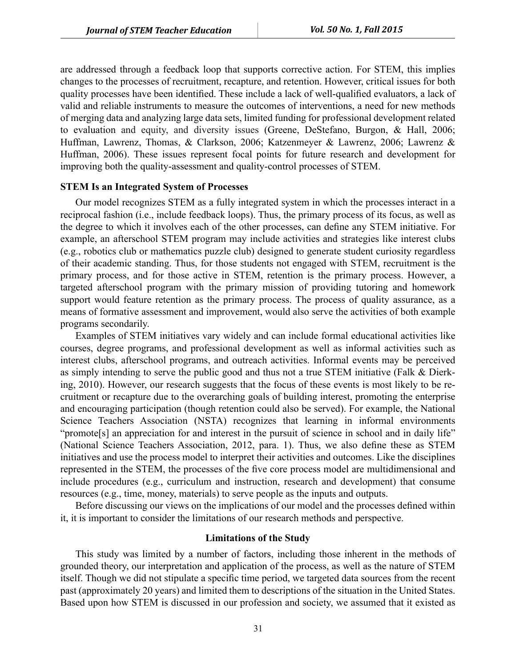are addressed through a feedback loop that supports corrective action. For STEM, this implies changes to the processes of recruitment, recapture, and retention. However, critical issues for both quality processes have been identified. These include a lack of well-qualified evaluators, a lack of valid and reliable instruments to measure the outcomes of interventions, a need for new methods of merging data and analyzing large data sets, limited funding for professional development related to evaluation and equity, and diversity issues (Greene, DeStefano, Burgon, & Hall, 2006; Huffman, Lawrenz, Thomas, & Clarkson, 2006; Katzenmeyer & Lawrenz, 2006; Lawrenz & Huffman, 2006). These issues represent focal points for future research and development for improving both the quality-assessment and quality-control processes of STEM.

#### **STEM Is an Integrated System of Processes**

Our model recognizes STEM as a fully integrated system in which the processes interact in a reciprocal fashion (i.e., include feedback loops). Thus, the primary process of its focus, as well as the degree to which it involves each of the other processes, can define any STEM initiative. For example, an afterschool STEM program may include activities and strategies like interest clubs (e.g., robotics club or mathematics puzzle club) designed to generate student curiosity regardless of their academic standing. Thus, for those students not engaged with STEM, recruitment is the primary process, and for those active in STEM, retention is the primary process. However, a targeted afterschool program with the primary mission of providing tutoring and homework support would feature retention as the primary process. The process of quality assurance, as a means of formative assessment and improvement, would also serve the activities of both example programs secondarily.

Examples of STEM initiatives vary widely and can include formal educational activities like courses, degree programs, and professional development as well as informal activities such as interest clubs, afterschool programs, and outreach activities. Informal events may be perceived as simply intending to serve the public good and thus not a true STEM initiative (Falk & Dierking, 2010). However, our research suggests that the focus of these events is most likely to be recruitment or recapture due to the overarching goals of building interest, promoting the enterprise and encouraging participation (though retention could also be served). For example, the National Science Teachers Association (NSTA) recognizes that learning in informal environments "promote<sup>[s]</sup> an appreciation for and interest in the pursuit of science in school and in daily life" (National Science Teachers Association, 2012, para. 1). Thus, we also define these as STEM initiatives and use the process model to interpret their activities and outcomes. Like the disciplines represented in the STEM, the processes of the five core process model are multidimensional and include procedures (e.g., curriculum and instruction, research and development) that consume resources (e.g., time, money, materials) to serve people as the inputs and outputs.

Before discussing our views on the implications of our model and the processes defined within it, it is important to consider the limitations of our research methods and perspective.

#### **Limitations of the Study**

This study was limited by a number of factors, including those inherent in the methods of grounded theory, our interpretation and application of the process, as well as the nature of STEM itself. Though we did not stipulate a specific time period, we targeted data sources from the recent past (approximately 20 years) and limited them to descriptions of the situation in the United States. Based upon how STEM is discussed in our profession and society, we assumed that it existed as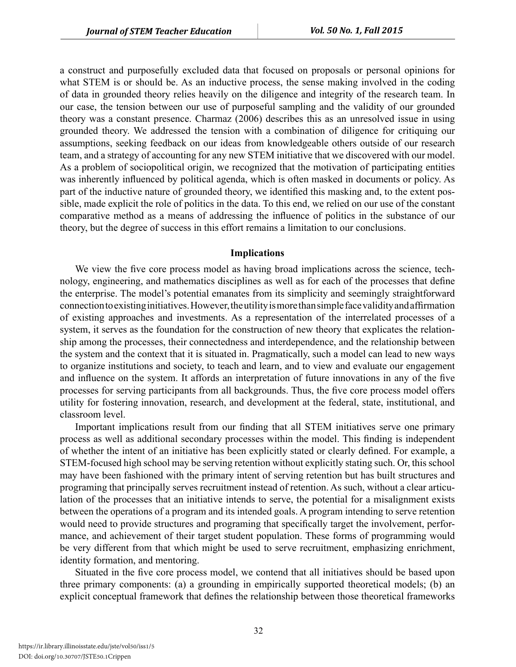a construct and purposefully excluded data that focused on proposals or personal opinions for what STEM is or should be. As an inductive process, the sense making involved in the coding of data in grounded theory relies heavily on the diligence and integrity of the research team. In our case, the tension between our use of purposeful sampling and the validity of our grounded theory was a constant presence. Charmaz (2006) describes this as an unresolved issue in using grounded theory. We addressed the tension with a combination of diligence for critiquing our assumptions, seeking feedback on our ideas from knowledgeable others outside of our research team, and a strategy of accounting for any new STEM initiative that we discovered with our model. As a problem of sociopolitical origin, we recognized that the motivation of participating entities was inherently influenced by political agenda, which is often masked in documents or policy. As part of the inductive nature of grounded theory, we identified this masking and, to the extent possible, made explicit the role of politics in the data. To this end, we relied on our use of the constant comparative method as a means of addressing the influence of politics in the substance of our theory, but the degree of success in this effort remains a limitation to our conclusions.

#### **Implications**

We view the five core process model as having broad implications across the science, technology, engineering, and mathematics disciplines as well as for each of the processes that define the enterprise. The model's potential emanates from its simplicity and seemingly straightforward connection to existing initiatives. However, the utility is more than simple face validity and affirmation of existing approaches and investments. As a representation of the interrelated processes of a system, it serves as the foundation for the construction of new theory that explicates the relationship among the processes, their connectedness and interdependence, and the relationship between the system and the context that it is situated in. Pragmatically, such a model can lead to new ways to organize institutions and society, to teach and learn, and to view and evaluate our engagement and influence on the system. It affords an interpretation of future innovations in any of the five processes for serving participants from all backgrounds. Thus, the five core process model offers utility for fostering innovation, research, and development at the federal, state, institutional, and classroom level.

Important implications result from our finding that all STEM initiatives serve one primary process as well as additional secondary processes within the model. This finding is independent of whether the intent of an initiative has been explicitly stated or clearly defined. For example, a STEM-focused high school may be serving retention without explicitly stating such. Or, this school may have been fashioned with the primary intent of serving retention but has built structures and programing that principally serves recruitment instead of retention. As such, without a clear articulation of the processes that an initiative intends to serve, the potential for a misalignment exists between the operations of a program and its intended goals. A program intending to serve retention would need to provide structures and programing that specifically target the involvement, performance, and achievement of their target student population. These forms of programming would be very different from that which might be used to serve recruitment, emphasizing enrichment, identity formation, and mentoring.

Situated in the five core process model, we contend that all initiatives should be based upon three primary components: (a) a grounding in empirically supported theoretical models; (b) an explicit conceptual framework that defines the relationship between those theoretical frameworks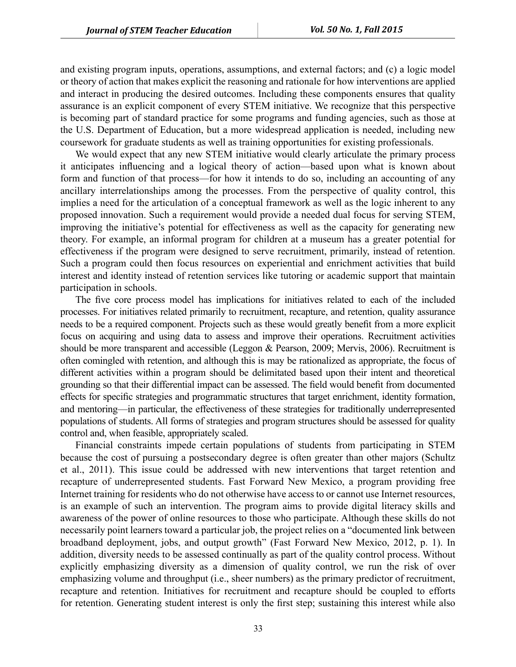and existing program inputs, operations, assumptions, and external factors; and (c) a logic model or theory of action that makes explicit the reasoning and rationale for how interventions are applied and interact in producing the desired outcomes. Including these components ensures that quality assurance is an explicit component of every STEM initiative. We recognize that this perspective is becoming part of standard practice for some programs and funding agencies, such as those at the U.S. Department of Education, but a more widespread application is needed, including new coursework for graduate students as well as training opportunities for existing professionals.

We would expect that any new STEM initiative would clearly articulate the primary process it anticipates influencing and a logical theory of action—based upon what is known about form and function of that process—for how it intends to do so, including an accounting of any ancillary interrelationships among the processes. From the perspective of quality control, this implies a need for the articulation of a conceptual framework as well as the logic inherent to any proposed innovation. Such a requirement would provide a needed dual focus for serving STEM, improving the initiative's potential for effectiveness as well as the capacity for generating new theory. For example, an informal program for children at a museum has a greater potential for effectiveness if the program were designed to serve recruitment, primarily, instead of retention. Such a program could then focus resources on experiential and enrichment activities that build interest and identity instead of retention services like tutoring or academic support that maintain participation in schools.

The five core process model has implications for initiatives related to each of the included processes. For initiatives related primarily to recruitment, recapture, and retention, quality assurance needs to be a required component. Projects such as these would greatly benefit from a more explicit focus on acquiring and using data to assess and improve their operations. Recruitment activities should be more transparent and accessible (Leggon & Pearson, 2009; Mervis, 2006). Recruitment is often comingled with retention, and although this is may be rationalized as appropriate, the focus of different activities within a program should be delimitated based upon their intent and theoretical grounding so that their differential impact can be assessed. The field would benefit from documented effects for specific strategies and programmatic structures that target enrichment, identity formation, and mentoring—in particular, the effectiveness of these strategies for traditionally underrepresented populations of students. All forms of strategies and program structures should be assessed for quality control and, when feasible, appropriately scaled.

Financial constraints impede certain populations of students from participating in STEM because the cost of pursuing a postsecondary degree is often greater than other majors (Schultz et al., 2011). This issue could be addressed with new interventions that target retention and recapture of underrepresented students. Fast Forward New Mexico, a program providing free Internet training for residents who do not otherwise have access to or cannot use Internet resources, is an example of such an intervention. The program aims to provide digital literacy skills and awareness of the power of online resources to those who participate. Although these skills do not necessarily point learners toward a particular job, the project relies on a "documented link between broadband deployment, jobs, and output growth" (Fast Forward New Mexico, 2012, p. 1). In addition, diversity needs to be assessed continually as part of the quality control process. Without explicitly emphasizing diversity as a dimension of quality control, we run the risk of over emphasizing volume and throughput (i.e., sheer numbers) as the primary predictor of recruitment, recapture and retention. Initiatives for recruitment and recapture should be coupled to efforts for retention. Generating student interest is only the first step; sustaining this interest while also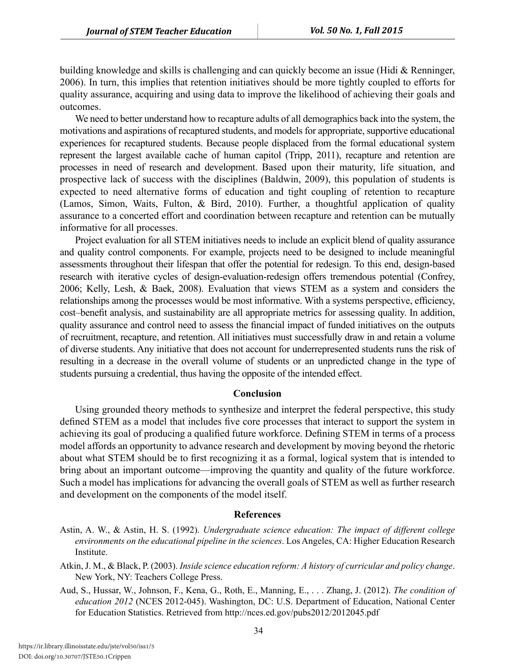building knowledge and skills is challenging and can quickly become an issue (Hidi & Renninger, 2006). In turn, this implies that retention initiatives should be more tightly coupled to efforts for quality assurance, acquiring and using data to improve the likelihood of achieving their goals and outcomes.

We need to better understand how to recapture adults of all demographics back into the system, the motivations and aspirations of recaptured students, and models for appropriate, supportive educational experiences for recaptured students. Because people displaced from the formal educational system represent the largest available cache of human capitol (Tripp, 2011), recapture and retention are processes in need of research and development. Based upon their maturity, life situation, and prospective lack of success with the disciplines (Baldwin, 2009), this population of students is expected to need alternative forms of education and tight coupling of retention to recapture (Lamos, Simon, Waits, Fulton, & Bird, 2010). Further, a thoughtful application of quality assurance to a concerted effort and coordination between recapture and retention can be mutually informative for all processes.

Project evaluation for all STEM initiatives needs to include an explicit blend of quality assurance and quality control components. For example, projects need to be designed to include meaningful assessments throughout their lifespan that offer the potential for redesign. To this end, design-based research with iterative cycles of design-evaluation-redesign offers tremendous potential (Confrey, 2006; Kelly, Lesh, & Baek, 2008). Evaluation that views STEM as a system and considers the relationships among the processes would be most informative. With a systems perspective, efficiency, cost–benefit analysis, and sustainability are all appropriate metrics for assessing quality. In addition, quality assurance and control need to assess the financial impact of funded initiatives on the outputs of recruitment, recapture, and retention. All initiatives must successfully draw in and retain a volume of diverse students. Any initiative that does not account for underrepresented students runs the risk of resulting in a decrease in the overall volume of students or an unpredicted change in the type of students pursuing a credential, thus having the opposite of the intended effect.

#### **Conclusion**

Using grounded theory methods to synthesize and interpret the federal perspective, this study defined STEM as a model that includes five core processes that interact to support the system in achieving its goal of producing a qualified future workforce. Defining STEM in terms of a process model affords an opportunity to advance research and development by moving beyond the rhetoric about what STEM should be to first recognizing it as a formal, logical system that is intended to bring about an important outcome—improving the quantity and quality of the future workforce. Such a model has implications for advancing the overall goals of STEM as well as further research and development on the components of the model itself.

#### **References**

- Astin, A. W., & Astin, H. S. (1992). *Undergraduate science education: The impact of different college environments on the educational pipeline in the sciences*. Los Angeles, CA: Higher Education Research Institute.
- Atkin, J. M., & Black, P. (2003). *Inside science education reform: A history of curricular and policy change*. New York, NY: Teachers College Press.
- Aud, S., Hussar, W., Johnson, F., Kena, G., Roth, E., Manning, E., . . . Zhang, J. (2012). *The condition of education 2012* (NCES 2012-045). Washington, DC: U.S. Department of Education, National Center for Education Statistics. Retrieved from http://nces.ed.gov/pubs2012/2012045.pdf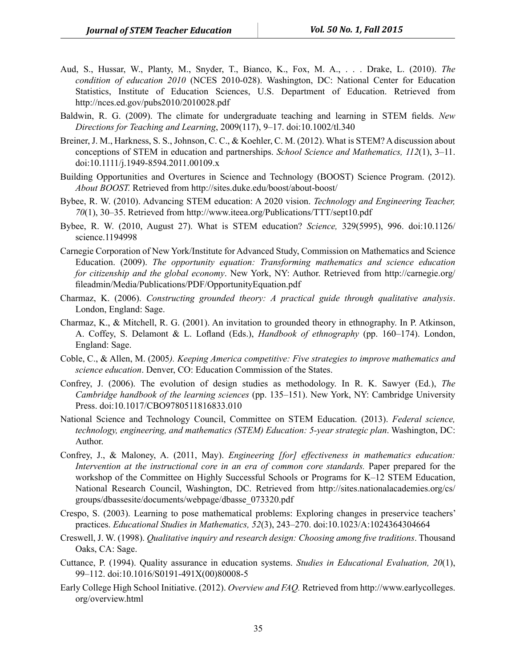- Aud, S., Hussar, W., Planty, M., Snyder, T., Bianco, K., Fox, M. A., . . . Drake, L. (2010). *The condition of education 2010* (NCES 2010-028). Washington, DC: National Center for Education Statistics, Institute of Education Sciences, U.S. Department of Education. Retrieved from http://nces.ed.gov/pubs2010/2010028.pdf
- Baldwin, R. G. (2009). The climate for undergraduate teaching and learning in STEM fields. *New Directions for Teaching and Learning*, 2009(117), 9–17. doi:10.1002/tl.340
- Breiner, J. M., Harkness, S. S., Johnson, C. C., & Koehler, C. M. (2012). What is STEM? A discussion about conceptions of STEM in education and partnerships. *School Science and Mathematics, 112*(1), 3–11. doi:10.1111/j.1949-8594.2011.00109.x
- Building Opportunities and Overtures in Science and Technology (BOOST) Science Program. (2012). *About BOOST.* Retrieved from http://sites.duke.edu/boost/about-boost/
- Bybee, R. W. (2010). Advancing STEM education: A 2020 vision. *Technology and Engineering Teacher, 70*(1), 30–35. Retrieved from http://www.iteea.org/Publications/TTT/sept10.pdf
- Bybee, R. W. (2010, August 27). What is STEM education? *Science,* 329(5995), 996. doi:10.1126/ science.1194998
- Carnegie Corporation of New York/Institute for Advanced Study, Commission on Mathematics and Science Education. (2009). *The opportunity equation: Transforming mathematics and science education for citizenship and the global economy*. New York, NY: Author. Retrieved from http://carnegie.org/ fileadmin/Media/Publications/PDF/OpportunityEquation.pdf
- Charmaz, K. (2006). *Constructing grounded theory: A practical guide through qualitative analysis*. London, England: Sage.
- Charmaz, K., & Mitchell, R. G. (2001). An invitation to grounded theory in ethnography. In P. Atkinson, A. Coffey, S. Delamont & L. Lofland (Eds.), *Handbook of ethnography* (pp. 160–174). London, England: Sage.
- Coble, C., & Allen, M. (2005*). Keeping America competitive: Five strategies to improve mathematics and science education*. Denver, CO: Education Commission of the States.
- Confrey, J. (2006). The evolution of design studies as methodology. In R. K. Sawyer (Ed.), *The Cambridge handbook of the learning sciences* (pp. 135–151). New York, NY: Cambridge University Press. doi:10.1017/CBO9780511816833.010
- National Science and Technology Council, Committee on STEM Education. (2013). *Federal science, technology, engineering, and mathematics (STEM) Education: 5-year strategic plan*. Washington, DC: Author.
- Confrey, J., & Maloney, A. (2011, May). *Engineering [for] effectiveness in mathematics education: Intervention at the instructional core in an era of common core standards.* Paper prepared for the workshop of the Committee on Highly Successful Schools or Programs for K–12 STEM Education, National Research Council, Washington, DC. Retrieved from http://sites.nationalacademies.org/cs/ groups/dbassesite/documents/webpage/dbasse\_073320.pdf
- Crespo, S. (2003). Learning to pose mathematical problems: Exploring changes in preservice teachers' practices. *Educational Studies in Mathematics, 52*(3), 243–270. doi:10.1023/A:1024364304664
- Creswell, J. W. (1998). *Qualitative inquiry and research design: Choosing among five traditions*. Thousand Oaks, CA: Sage.
- Cuttance, P. (1994). Quality assurance in education systems. *Studies in Educational Evaluation, 20*(1), 99–112. doi:10.1016/S0191-491X(00)80008-5
- Early College High School Initiative. (2012). *Overview and FAQ.* Retrieved from http://www.earlycolleges. org/overview.html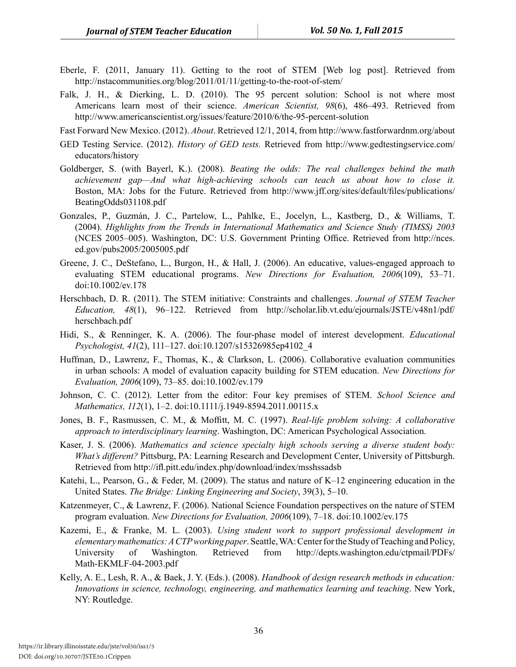- Eberle, F. (2011, January 11). Getting to the root of STEM [Web log post]. Retrieved from http://nstacommunities.org/blog/2011/01/11/getting-to-the-root-of-stem/
- Falk, J. H., & Dierking, L. D. (2010). The 95 percent solution: School is not where most Americans learn most of their science. *American Scientist, 98*(6), 486–493. Retrieved from http://www.americanscientist.org/issues/feature/2010/6/the-95-percent-solution

Fast Forward New Mexico. (2012). *About*. Retrieved 12/1, 2014, from http://www.fastforwardnm.org/about

- GED Testing Service. (2012). *History of GED tests.* Retrieved from http://www.gedtestingservice.com/ educators/history
- Goldberger, S. (with Bayerl, K.). (2008). *Beating the odds: The real challenges behind the math achievement gap—And what high-achieving schools can teach us about how to close it.* Boston, MA: Jobs for the Future. Retrieved from http://www.jff.org/sites/default/files/publications/ BeatingOdds031108.pdf
- Gonzales, P., Guzmán, J. C., Partelow, L., Pahlke, E., Jocelyn, L., Kastberg, D., & Williams, T. (2004). *Highlights from the Trends in International Mathematics and Science Study (TIMSS) 2003*  (NCES 2005–005). Washington, DC: U.S. Government Printing Office. Retrieved from http://nces. ed.gov/pubs2005/2005005.pdf
- Greene, J. C., DeStefano, L., Burgon, H., & Hall, J. (2006). An educative, values-engaged approach to evaluating STEM educational programs. *New Directions for Evaluation, 2006*(109), 53–71. doi:10.1002/ev.178
- Herschbach, D. R. (2011). The STEM initiative: Constraints and challenges. *Journal of STEM Teacher Education, 48*(1), 96–122. Retrieved from http://scholar.lib.vt.edu/ejournals/JSTE/v48n1/pdf/ herschbach.pdf
- Hidi, S., & Renninger, K. A. (2006). The four-phase model of interest development. *Educational Psychologist, 41*(2), 111–127. doi:10.1207/s15326985ep4102\_4
- Huffman, D., Lawrenz, F., Thomas, K., & Clarkson, L. (2006). Collaborative evaluation communities in urban schools: A model of evaluation capacity building for STEM education. *New Directions for Evaluation, 2006*(109), 73–85. doi:10.1002/ev.179
- Johnson, C. C. (2012). Letter from the editor: Four key premises of STEM. *School Science and Mathematics, 112*(1), 1–2. doi:10.1111/j.1949-8594.2011.00115.x
- Jones, B. F., Rasmussen, C. M., & Moffitt, M. C. (1997). *Real-life problem solving: A collaborative approach to interdisciplinary learning*. Washington, DC: American Psychological Association.
- Kaser, J. S. (2006). *Mathematics and science specialty high schools serving a diverse student body: What's different?* Pittsburg, PA: Learning Research and Development Center, University of Pittsburgh. Retrieved from http://ifl.pitt.edu/index.php/download/index/msshssadsb
- Katehi, L., Pearson, G., & Feder, M. (2009). The status and nature of K–12 engineering education in the United States. *The Bridge: Linking Engineering and Society*, 39(3), 5–10.
- Katzenmeyer, C., & Lawrenz, F. (2006). National Science Foundation perspectives on the nature of STEM program evaluation. *New Directions for Evaluation, 2006*(109), 7–18. doi:10.1002/ev.175
- Kazemi, E., & Franke, M. L. (2003). *Using student work to support professional development in elementary mathematics: A CTP working paper*. Seattle, WA: Center for the Study of Teaching and Policy, University of Washington. Retrieved from http://depts.washington.edu/ctpmail/PDFs/ Math-EKMLF-04-2003.pdf
- Kelly, A. E., Lesh, R. A., & Baek, J. Y. (Eds.). (2008). *Handbook of design research methods in education: Innovations in science, technology, engineering, and mathematics learning and teaching*. New York, NY: Routledge.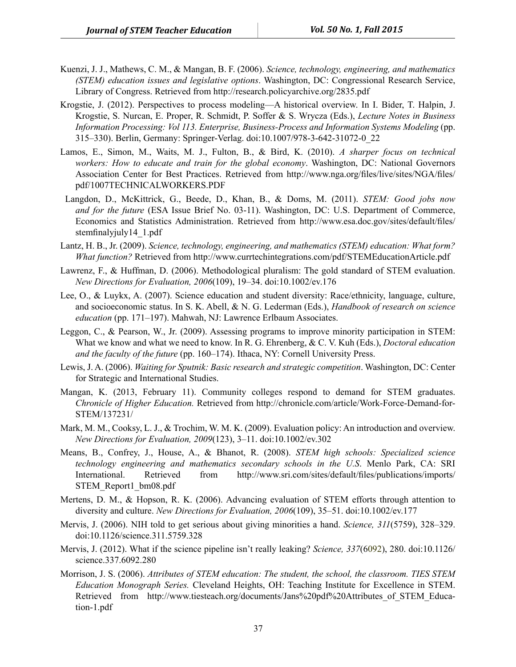- Kuenzi, J. J., Mathews, C. M., & Mangan, B. F. (2006). *Science, technology, engineering, and mathematics (STEM) education issues and legislative options*. Washington, DC: Congressional Research Service, Library of Congress. Retrieved from http://research.policyarchive.org/2835.pdf
- Krogstie, J. (2012). Perspectives to process modeling—A historical overview. In I. Bider, T. Halpin, J. Krogstie, S. Nurcan, E. Proper, R. Schmidt, P. Soffer & S. Wrycza (Eds.), *Lecture Notes in Business Information Processing: Vol 113. Enterprise, Business-Process and Information Systems Modeling* (pp. 315–330). Berlin, Germany: Springer-Verlag. doi:10.1007/978-3-642-31072-0\_22
- Lamos, E., Simon, M., Waits, M. J., Fulton, B., & Bird, K. (2010). *A sharper focus on technical workers: How to educate and train for the global economy*. Washington, DC: National Governors Association Center for Best Practices. Retrieved from http://www.nga.org/files/live/sites/NGA/files/ pdf/1007TECHNICALWORKERS.PDF
- Langdon, D., McKittrick, G., Beede, D., Khan, B., & Doms, M. (2011). *STEM: Good jobs now and for the future* (ESA Issue Brief No. 03-11). Washington, DC: U.S. Department of Commerce, Economics and Statistics Administration. Retrieved from http://www.esa.doc.gov/sites/default/files/ stemfinalyjuly14\_1.pdf
- Lantz, H. B., Jr. (2009). *Science, technology, engineering, and mathematics (STEM) education: What form? What function?* Retrieved from http://www.currtechintegrations.com/pdf/STEMEducationArticle.pdf
- Lawrenz, F., & Huffman, D. (2006). Methodological pluralism: The gold standard of STEM evaluation. *New Directions for Evaluation, 2006*(109), 19–34. doi:10.1002/ev.176
- Lee, O., & Luykx, A. (2007). Science education and student diversity: Race/ethnicity, language, culture, and socioeconomic status. In S. K. Abell, & N. G. Lederman (Eds.), *Handbook of research on science education* (pp. 171–197). Mahwah, NJ: Lawrence Erlbaum Associates.
- Leggon, C., & Pearson, W., Jr. (2009). Assessing programs to improve minority participation in STEM: What we know and what we need to know. In R. G. Ehrenberg, & C. V. Kuh (Eds.), *Doctoral education and the faculty of the future* (pp. 160–174). Ithaca, NY: Cornell University Press.
- Lewis, J. A. (2006). *Waiting for Sputnik: Basic research and strategic competition*. Washington, DC: Center for Strategic and International Studies.
- Mangan, K. (2013, February 11). Community colleges respond to demand for STEM graduates. *Chronicle of Higher Education.* Retrieved from http://chronicle.com/article/Work-Force-Demand-for-STEM/137231/
- Mark, M. M., Cooksy, L. J., & Trochim, W. M. K. (2009). Evaluation policy: An introduction and overview. *New Directions for Evaluation, 2009*(123), 3–11. doi:10.1002/ev.302
- Means, B., Confrey, J., House, A., & Bhanot, R. (2008). *STEM high schools: Specialized science technology engineering and mathematics secondary schools in the U.S*. Menlo Park, CA: SRI International. Retrieved from http://www.sri.com/sites/default/files/publications/imports/ STEM\_Report1\_bm08.pdf
- Mertens, D. M., & Hopson, R. K. (2006). Advancing evaluation of STEM efforts through attention to diversity and culture. *New Directions for Evaluation, 2006*(109), 35–51. doi:10.1002/ev.177
- Mervis, J. (2006). NIH told to get serious about giving minorities a hand. *Science, 311*(5759), 328–329. doi:10.1126/science.311.5759.328
- Mervis, J. (2012). What if the science pipeline isn't really leaking? *Science, 337*(6092), 280. doi:10.1126/ science.337.6092.280
- Morrison, J. S. (2006). *Attributes of STEM education: The student, the school, the classroom. TIES STEM Education Monograph Series.* Cleveland Heights, OH: Teaching Institute for Excellence in STEM. Retrieved from http://www.tiesteach.org/documents/Jans%20pdf%20Attributes of STEM Education-1.pdf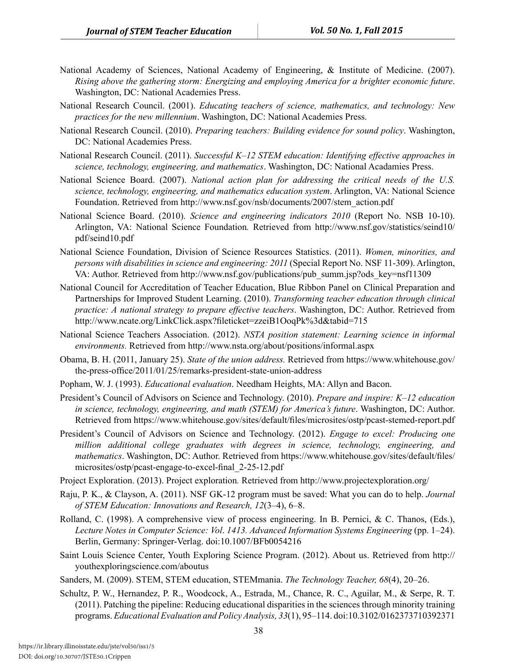- National Academy of Sciences, National Academy of Engineering, & Institute of Medicine. (2007). *Rising above the gathering storm: Energizing and employing America for a brighter economic future*. Washington, DC: National Academies Press.
- National Research Council. (2001). *Educating teachers of science, mathematics, and technology: New practices for the new millennium*. Washington, DC: National Academies Press.
- National Research Council. (2010). *Preparing teachers: Building evidence for sound policy*. Washington, DC: National Academies Press.
- National Research Council. (2011). *Successful K–12 STEM education: Identifying effective approaches in science, technology, engineering, and mathematics*. Washington, DC: National Acadamies Press.
- National Science Board. (2007). *National action plan for addressing the critical needs of the U.S. science, technology, engineering, and mathematics education system*. Arlington, VA: National Science Foundation. Retrieved from http://www.nsf.gov/nsb/documents/2007/stem\_action.pdf
- National Science Board. (2010). *Science and engineering indicators 2010* (Report No. NSB 10-10). Arlington, VA: National Science Foundation*.* Retrieved from http://www.nsf.gov/statistics/seind10/ pdf/seind10.pdf
- National Science Foundation, Division of Science Resources Statistics. (2011). *Women, minorities, and persons with disabilities in science and engineering: 2011* (Special Report No. NSF 11-309). Arlington, VA: Author. Retrieved from http://www.nsf.gov/publications/pub\_summ.jsp?ods\_key=nsf11309
- National Council for Accreditation of Teacher Education, Blue Ribbon Panel on Clinical Preparation and Partnerships for Improved Student Learning. (2010). *Transforming teacher education through clinical practice: A national strategy to prepare effective teachers*. Washington, DC: Author. Retrieved from http://www.ncate.org/LinkClick.aspx?fileticket=zzeiB1OoqPk%3d&tabid=715
- National Science Teachers Association. (2012). *NSTA position statement: Learning science in informal environments.* Retrieved from http://www.nsta.org/about/positions/informal.aspx
- Obama, B. H. (2011, January 25). *State of the union address.* Retrieved from https://www.whitehouse.gov/ the-press-office/2011/01/25/remarks-president-state-union-address
- Popham, W. J. (1993). *Educational evaluation*. Needham Heights, MA: Allyn and Bacon.
- President's Council of Advisors on Science and Technology. (2010). *Prepare and inspire: K–12 education in science, technology, engineering, and math (STEM) for America's future*. Washington, DC: Author. Retrieved from https://www.whitehouse.gov/sites/default/files/microsites/ostp/pcast-stemed-report.pdf
- President's Council of Advisors on Science and Technology. (2012). *Engage to excel: Producing one million additional college graduates with degrees in science, technology, engineering, and mathematics*. Washington, DC: Author. Retrieved from https://www.whitehouse.gov/sites/default/files/ microsites/ostp/pcast-engage-to-excel-final\_2-25-12.pdf
- Project Exploration. (2013). Project exploration*.* Retrieved from http://www.projectexploration.org/
- Raju, P. K., & Clayson, A. (2011). NSF GK-12 program must be saved: What you can do to help. *Journal of STEM Education: Innovations and Research, 12*(3–4), 6–8.
- Rolland, C. (1998). A comprehensive view of process engineering. In B. Pernici, & C. Thanos, (Eds.), *Lecture Notes in Computer Science: Vol*. *1413. Advanced Information Systems Engineering* (pp. 1–24). Berlin, Germany: Springer-Verlag. doi:10.1007/BFb0054216
- Saint Louis Science Center, Youth Exploring Science Program. (2012). About us. Retrieved from http:// youthexploringscience.com/aboutus

Sanders, M. (2009). STEM, STEM education, STEMmania. *The Technology Teacher, 68*(4), 20–26.

Schultz, P. W., Hernandez, P. R., Woodcock, A., Estrada, M., Chance, R. C., Aguilar, M., & Serpe, R. T. (2011). Patching the pipeline: Reducing educational disparities in the sciences through minority training programs. *Educational Evaluation and Policy Analysis, 33*(1), 95–114. doi:10.3102/0162373710392371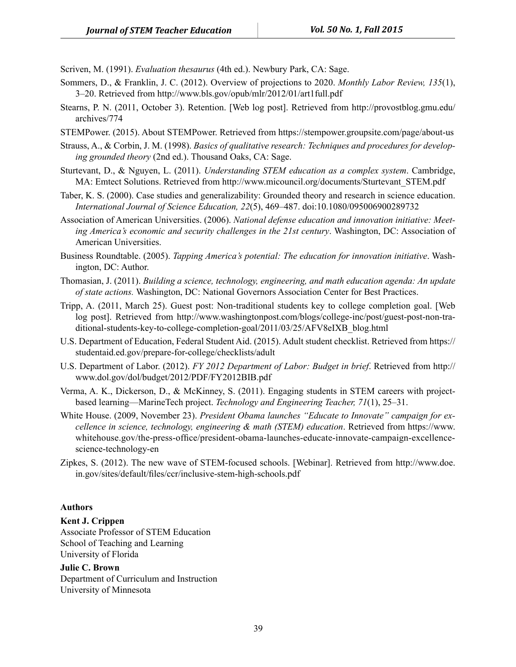Scriven, M. (1991). *Evaluation thesaurus* (4th ed.). Newbury Park, CA: Sage.

- Sommers, D., & Franklin, J. C. (2012). Overview of projections to 2020. *Monthly Labor Review, 135*(1), 3–20. Retrieved from http://www.bls.gov/opub/mlr/2012/01/art1full.pdf
- Stearns, P. N. (2011, October 3). Retention. [Web log post]. Retrieved from http://provostblog.gmu.edu/ archives/774
- STEMPower. (2015). About STEMPower. Retrieved from https://stempower.groupsite.com/page/about-us
- Strauss, A., & Corbin, J. M. (1998). *Basics of qualitative research: Techniques and procedures for developing grounded theory* (2nd ed.). Thousand Oaks, CA: Sage.
- Sturtevant, D., & Nguyen, L. (2011). *Understanding STEM education as a complex system*. Cambridge, MA: Emtect Solutions. Retrieved from http://www.micouncil.org/documents/Sturtevant\_STEM.pdf
- Taber, K. S. (2000). Case studies and generalizability: Grounded theory and research in science education. *International Journal of Science Education, 22*(5), 469–487. doi:10.1080/095006900289732
- Association of American Universities. (2006). *National defense education and innovation initiative: Meeting America's economic and security challenges in the 21st century*. Washington, DC: Association of American Universities.
- Business Roundtable. (2005). *Tapping America's potential: The education for innovation initiative*. Washington, DC: Author.
- Thomasian, J. (2011). *Building a science, technology, engineering, and math education agenda: An update of state actions.* Washington, DC: National Governors Association Center for Best Practices.
- Tripp, A. (2011, March 25). Guest post: Non-traditional students key to college completion goal. [Web log post]. Retrieved from http://www.washingtonpost.com/blogs/college-inc/post/guest-post-non-traditional-students-key-to-college-completion-goal/2011/03/25/AFV8eIXB\_blog.html
- U.S. Department of Education, Federal Student Aid. (2015). Adult student checklist. Retrieved from https:// studentaid.ed.gov/prepare-for-college/checklists/adult
- U.S. Department of Labor. (2012). *FY 2012 Department of Labor: Budget in brief*. Retrieved from http:// www.dol.gov/dol/budget/2012/PDF/FY2012BIB.pdf
- Verma, A. K., Dickerson, D., & McKinney, S. (2011). Engaging students in STEM careers with projectbased learning—MarineTech project. *Technology and Engineering Teacher, 71*(1), 25–31.
- White House. (2009, November 23). *President Obama launches "Educate to Innovate" campaign for excellence in science, technology, engineering & math (STEM) education*. Retrieved from https://www. whitehouse.gov/the-press-office/president-obama-launches-educate-innovate-campaign-excellencescience-technology-en
- Zipkes, S. (2012). The new wave of STEM-focused schools. [Webinar]. Retrieved from http://www.doe. in.gov/sites/default/files/ccr/inclusive-stem-high-schools.pdf

#### **Authors**

#### **Kent J. Crippen**

Associate Professor of STEM Education School of Teaching and Learning University of Florida

#### **Julie C. Brown**

Department of Curriculum and Instruction University of Minnesota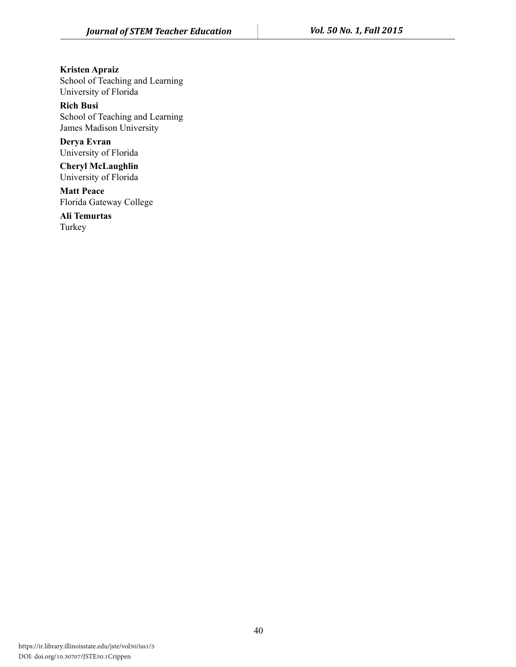**Kristen Apraiz**  School of Teaching and Learning University of Florida

**Rich Busi**  School of Teaching and Learning James Madison University

**Derya Evran**  University of Florida

**Cheryl McLaughlin**  University of Florida

**Matt Peace**  Florida Gateway College

**Ali Temurtas**  Turkey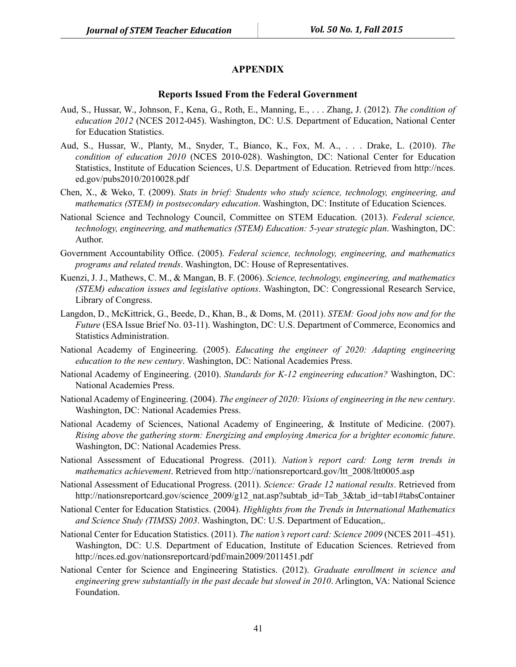#### **APPENDIX**

#### **Reports Issued From the Federal Government**

- Aud, S., Hussar, W., Johnson, F., Kena, G., Roth, E., Manning, E., . . . Zhang, J. (2012). *The condition of education 2012* (NCES 2012-045). Washington, DC: U.S. Department of Education, National Center for Education Statistics.
- Aud, S., Hussar, W., Planty, M., Snyder, T., Bianco, K., Fox, M. A., . . . Drake, L. (2010). *The condition of education 2010* (NCES 2010-028). Washington, DC: National Center for Education Statistics, Institute of Education Sciences, U.S. Department of Education. Retrieved from http://nces. ed.gov/pubs2010/2010028.pdf
- Chen, X., & Weko, T. (2009). *Stats in brief: Students who study science, technology, engineering, and mathematics (STEM) in postsecondary education*. Washington, DC: Institute of Education Sciences.
- National Science and Technology Council, Committee on STEM Education. (2013). *Federal science, technology, engineering, and mathematics (STEM) Education: 5-year strategic plan*. Washington, DC: Author.
- Government Accountability Office. (2005). *Federal science, technology, engineering, and mathematics programs and related trends*. Washington, DC: House of Representatives.
- Kuenzi, J. J., Mathews, C. M., & Mangan, B. F. (2006). *Science, technology, engineering, and mathematics (STEM) education issues and legislative options*. Washington, DC: Congressional Research Service, Library of Congress.
- Langdon, D., McKittrick, G., Beede, D., Khan, B., & Doms, M. (2011). *STEM: Good jobs now and for the Future* (ESA Issue Brief No. 03-11). Washington, DC: U.S. Department of Commerce, Economics and Statistics Administration.
- National Academy of Engineering. (2005). *Educating the engineer of 2020: Adapting engineering education to the new century*. Washington, DC: National Academies Press.
- National Academy of Engineering. (2010). *Standards for K-12 engineering education?* Washington, DC: National Academies Press.
- National Academy of Engineering. (2004). *The engineer of 2020: Visions of engineering in the new century*. Washington, DC: National Academies Press.
- National Academy of Sciences, National Academy of Engineering, & Institute of Medicine. (2007). *Rising above the gathering storm: Energizing and employing America for a brighter economic future*. Washington, DC: National Academies Press.
- National Assessment of Educational Progress. (2011). *Nation's report card: Long term trends in mathematics achievement*. Retrieved from http://nationsreportcard.gov/ltt\_2008/ltt0005.asp
- National Assessment of Educational Progress. (2011). *Science: Grade 12 national results*. Retrieved from http://nationsreportcard.gov/science\_2009/g12\_nat.asp?subtab\_id=Tab\_3&tab\_id=tab1#tabsContainer
- National Center for Education Statistics. (2004). *Highlights from the Trends in International Mathematics and Science Study (TIMSS) 2003*. Washington, DC: U.S. Department of Education,.
- National Center for Education Statistics. (2011). *The nation's report card: Science 2009* (NCES 2011–451). Washington, DC: U.S. Department of Education, Institute of Education Sciences. Retrieved from http://nces.ed.gov/nationsreportcard/pdf/main2009/2011451.pdf
- National Center for Science and Engineering Statistics. (2012). *Graduate enrollment in science and engineering grew substantially in the past decade but slowed in 2010*. Arlington, VA: National Science Foundation.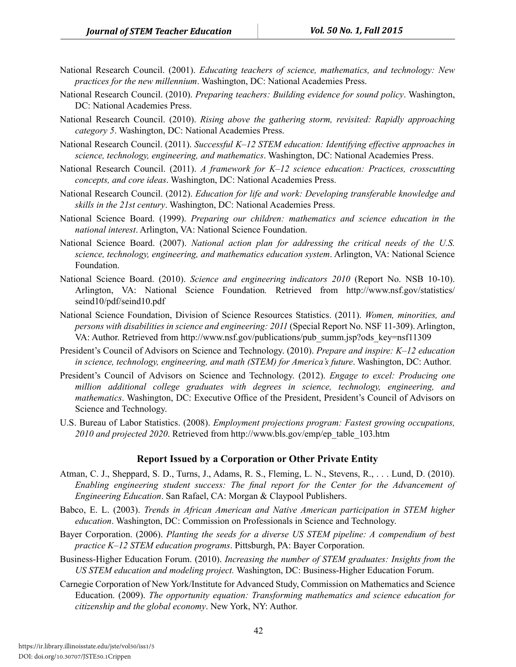- National Research Council. (2001). *Educating teachers of science, mathematics, and technology: New practices for the new millennium*. Washington, DC: National Academies Press.
- National Research Council. (2010). *Preparing teachers: Building evidence for sound policy*. Washington, DC: National Academies Press.
- National Research Council. (2010). *Rising above the gathering storm, revisited: Rapidly approaching category 5*. Washington, DC: National Academies Press.
- National Research Council. (2011). *Successful K–12 STEM education: Identifying effective approaches in science, technology, engineering, and mathematics*. Washington, DC: National Academies Press.
- National Research Council. (2011). *A framework for K–12 science education: Practices, crosscutting concepts, and core ideas*. Washington, DC: National Academies Press.
- National Research Council. (2012). *Education for life and work: Developing transferable knowledge and skills in the 21st century*. Washington, DC: National Academies Press.
- National Science Board. (1999). *Preparing our children: mathematics and science education in the national interest*. Arlington, VA: National Science Foundation.
- National Science Board. (2007). *National action plan for addressing the critical needs of the U.S. science, technology, engineering, and mathematics education system*. Arlington, VA: National Science Foundation.
- National Science Board. (2010). *Science and engineering indicators 2010* (Report No. NSB 10-10). Arlington, VA: National Science Foundation*.* Retrieved from http://www.nsf.gov/statistics/ seind10/pdf/seind10.pdf
- National Science Foundation, Division of Science Resources Statistics. (2011). *Women, minorities, and persons with disabilities in science and engineering: 2011* (Special Report No. NSF 11-309). Arlington, VA: Author. Retrieved from http://www.nsf.gov/publications/pub\_summ.jsp?ods\_key=nsf11309
- President's Council of Advisors on Science and Technology. (2010). *Prepare and inspire: K–12 education in science, technology, engineering, and math (STEM) for America's future*. Washington, DC: Author.
- President's Council of Advisors on Science and Technology. (2012). *Engage to excel: Producing one million additional college graduates with degrees in science, technology, engineering, and mathematics*. Washington, DC: Executive Office of the President, President's Council of Advisors on Science and Technology.
- U.S. Bureau of Labor Statistics. (2008). *Employment projections program: Fastest growing occupations, 2010 and projected 2020*. Retrieved from http://www.bls.gov/emp/ep\_table\_103.htm

#### **Report Issued by a Corporation or Other Private Entity**

- Atman, C. J., Sheppard, S. D., Turns, J., Adams, R. S., Fleming, L. N., Stevens, R., . . . Lund, D. (2010). *Enabling engineering student success: The final report for the Center for the Advancement of Engineering Education*. San Rafael, CA: Morgan & Claypool Publishers.
- Babco, E. L. (2003). *Trends in African American and Native American participation in STEM higher education*. Washington, DC: Commission on Professionals in Science and Technology.
- Bayer Corporation. (2006). *Planting the seeds for a diverse US STEM pipeline: A compendium of best practice K–12 STEM education programs*. Pittsburgh, PA: Bayer Corporation.
- Business-Higher Education Forum. (2010). *Increasing the number of STEM graduates: Insights from the US STEM education and modeling project.* Washington, DC: Business-Higher Education Forum.
- Carnegie Corporation of New York/Institute for Advanced Study, Commission on Mathematics and Science Education. (2009). *The opportunity equation: Transforming mathematics and science education for citizenship and the global economy*. New York, NY: Author.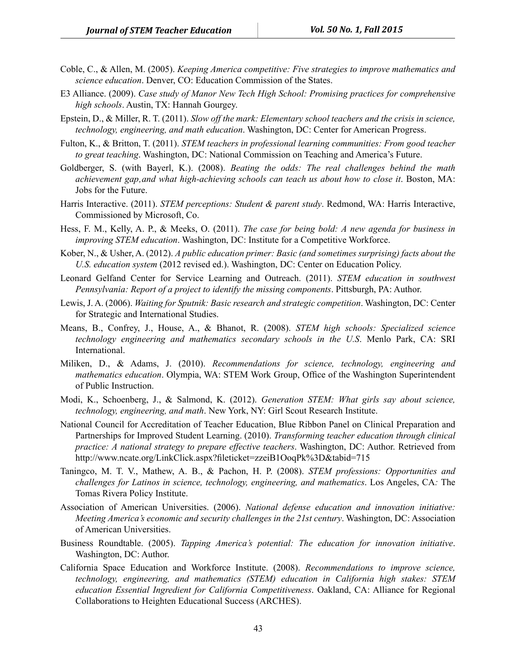- Coble, C., & Allen, M. (2005). *Keeping America competitive: Five strategies to improve mathematics and science education*. Denver, CO: Education Commission of the States.
- E3 Alliance. (2009). *Case study of Manor New Tech High School: Promising practices for comprehensive high schools*. Austin, TX: Hannah Gourgey.
- Epstein, D., & Miller, R. T. (2011). *Slow off the mark: Elementary school teachers and the crisis in science, technology, engineering, and math education*. Washington, DC: Center for American Progress.
- Fulton, K., & Britton, T. (2011). *STEM teachers in professional learning communities: From good teacher to great teaching*. Washington, DC: National Commission on Teaching and America's Future.
- Goldberger, S. (with Bayerl, K.). (2008). *Beating the odds: The real challenges behind the math achievement gap'and what high-achieving schools can teach us about how to close it*. Boston, MA: Jobs for the Future.
- Harris Interactive. (2011). *STEM perceptions: Student & parent study*. Redmond, WA: Harris Interactive, Commissioned by Microsoft, Co.
- Hess, F. M., Kelly, A. P., & Meeks, O. (2011). *The case for being bold: A new agenda for business in improving STEM education*. Washington, DC: Institute for a Competitive Workforce.
- Kober, N., & Usher, A. (2012). *A public education primer: Basic (and sometimes surprising) facts about the U.S. education system* (2012 revised ed.). Washington, DC: Center on Education Policy.
- Leonard Gelfand Center for Service Learning and Outreach. (2011). *STEM education in southwest Pennsylvania: Report of a project to identify the missing components*. Pittsburgh, PA: Author.
- Lewis, J. A. (2006). *Waiting for Sputnik: Basic research and strategic competition*. Washington, DC: Center for Strategic and International Studies.
- Means, B., Confrey, J., House, A., & Bhanot, R. (2008). *STEM high schools: Specialized science technology engineering and mathematics secondary schools in the U.S*. Menlo Park, CA: SRI International.
- Miliken, D., & Adams, J. (2010). *Recommendations for science, technology, engineering and mathematics education*. Olympia, WA: STEM Work Group, Office of the Washington Superintendent of Public Instruction.
- Modi, K., Schoenberg, J., & Salmond, K. (2012). *Generation STEM: What girls say about science, technology, engineering, and math*. New York, NY: Girl Scout Research Institute.
- National Council for Accreditation of Teacher Education, Blue Ribbon Panel on Clinical Preparation and Partnerships for Improved Student Learning. (2010). *Transforming teacher education through clinical practice: A national strategy to prepare effective teachers*. Washington, DC: Author. Retrieved from http://www.ncate.org/LinkClick.aspx?fileticket=zzeiB1OoqPk%3D&tabid=715
- Taningco, M. T. V., Mathew, A. B., & Pachon, H. P. (2008). *STEM professions: Opportunities and challenges for Latinos in science, technology, engineering, and mathematics*. Los Angeles, CA*:* The Tomas Rivera Policy Institute.
- Association of American Universities. (2006). *National defense education and innovation initiative: Meeting America's economic and security challenges in the 21st century*. Washington, DC: Association of American Universities.
- Business Roundtable. (2005). *Tapping America's potential: The education for innovation initiative*. Washington, DC: Author.
- California Space Education and Workforce Institute. (2008). *Recommendations to improve science, technology, engineering, and mathematics (STEM) education in California high stakes: STEM education Essential Ingredient for California Competitiveness*. Oakland, CA: Alliance for Regional Collaborations to Heighten Educational Success (ARCHES).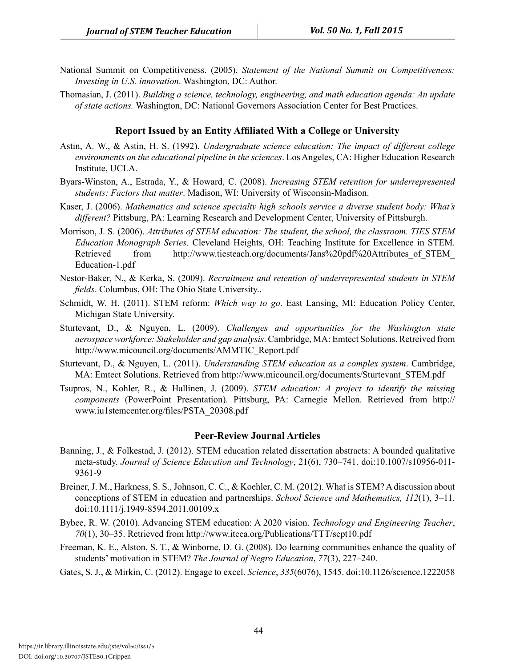- National Summit on Competitiveness. (2005). *Statement of the National Summit on Competitiveness: Investing in U.S. innovation*. Washington, DC: Author.
- Thomasian, J. (2011). *Building a science, technology, engineering, and math education agenda: An update of state actions.* Washington, DC: National Governors Association Center for Best Practices.

#### **Report Issued by an Entity Affiliated With a College or University**

- Astin, A. W., & Astin, H. S. (1992). *Undergraduate science education: The impact of different college environments on the educational pipeline in the sciences*. Los Angeles, CA: Higher Education Research Institute, UCLA.
- Byars-Winston, A., Estrada, Y., & Howard, C. (2008). *Increasing STEM retention for underrepresented students: Factors that matter*. Madison, WI: University of Wisconsin-Madison.
- Kaser, J. (2006). *Mathematics and science specialty high schools service a diverse student body: What's different?* Pittsburg, PA: Learning Research and Development Center, University of Pittsburgh.
- Morrison, J. S. (2006). *Attributes of STEM education: The student, the school, the classroom. TIES STEM Education Monograph Series.* Cleveland Heights, OH: Teaching Institute for Excellence in STEM. Retrieved from http://www.tiesteach.org/documents/Jans%20pdf%20Attributes of STEM Education-1.pdf
- Nestor-Baker, N., & Kerka, S. (2009). *Recruitment and retention of underrepresented students in STEM fields*. Columbus, OH: The Ohio State University..
- Schmidt, W. H. (2011). STEM reform: *Which way to go*. East Lansing, MI: Education Policy Center, Michigan State University.
- Sturtevant, D., & Nguyen, L. (2009). *Challenges and opportunities for the Washington state aerospace workforce: Stakeholder and gap analysis*. Cambridge, MA: Emtect Solutions. Retreived from http://www.micouncil.org/documents/AMMTIC\_Report.pdf
- Sturtevant, D., & Nguyen, L. (2011). *Understanding STEM education as a complex system*. Cambridge, MA: Emtect Solutions. Retrieved from http://www.micouncil.org/documents/Sturtevant\_STEM.pdf
- Tsupros, N., Kohler, R., & Hallinen, J. (2009). *STEM education: A project to identify the missing components* (PowerPoint Presentation). Pittsburg, PA: Carnegie Mellon. Retrieved from http:// www.iu1stemcenter.org/files/PSTA\_20308.pdf

#### **Peer-Review Journal Articles**

- Banning, J., & Folkestad, J. (2012). STEM education related dissertation abstracts: A bounded qualitative meta-study. *Journal of Science Education and Technology*, 21(6), 730–741. doi:10.1007/s10956-011- 9361-9
- Breiner, J. M., Harkness, S. S., Johnson, C. C., & Koehler, C. M. (2012). What is STEM? A discussion about conceptions of STEM in education and partnerships. *School Science and Mathematics, 112*(1), 3–11. doi:10.1111/j.1949-8594.2011.00109.x
- Bybee, R. W. (2010). Advancing STEM education: A 2020 vision. *Technology and Engineering Teacher*, *70*(1), 30–35. Retrieved from http://www.iteea.org/Publications/TTT/sept10.pdf
- Freeman, K. E., Alston, S. T., & Winborne, D. G. (2008). Do learning communities enhance the quality of students' motivation in STEM? *The Journal of Negro Education*, *77*(3), 227–240.
- Gates, S. J., & Mirkin, C. (2012). Engage to excel. *Science*, *335*(6076), 1545. doi:10.1126/science.1222058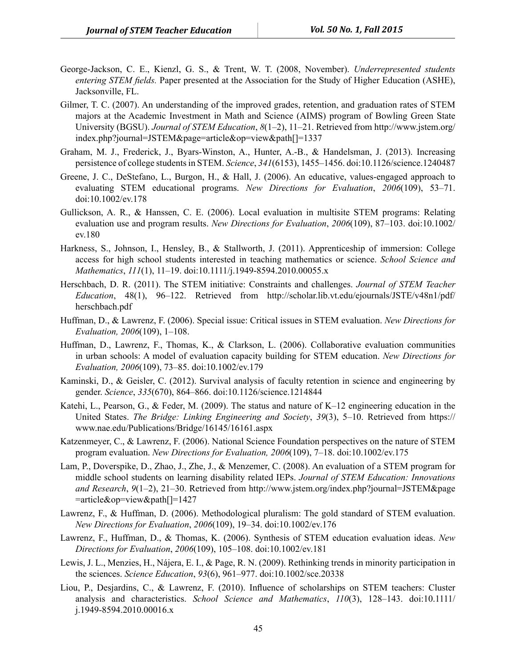- George-Jackson, C. E., Kienzl, G. S., & Trent, W. T. (2008, November). *Underrepresented students entering STEM fields.* Paper presented at the Association for the Study of Higher Education (ASHE), Jacksonville, FL.
- Gilmer, T. C. (2007). An understanding of the improved grades, retention, and graduation rates of STEM majors at the Academic Investment in Math and Science (AIMS) program of Bowling Green State University (BGSU). *Journal of STEM Education*, *8*(1–2), 11–21. Retrieved from http://www.jstem.org/ index.php?journal=JSTEM&page=article&op=view&path[]=1337
- Graham, M. J., Frederick, J., Byars-Winston, A., Hunter, A.-B., & Handelsman, J. (2013). Increasing persistence of college students in STEM. *Science*, *341*(6153), 1455–1456. doi:10.1126/science.1240487
- Greene, J. C., DeStefano, L., Burgon, H., & Hall, J. (2006). An educative, values-engaged approach to evaluating STEM educational programs. *New Directions for Evaluation*, *2006*(109), 53–71. doi:10.1002/ev.178
- Gullickson, A. R., & Hanssen, C. E. (2006). Local evaluation in multisite STEM programs: Relating evaluation use and program results. *New Directions for Evaluation*, *2006*(109), 87–103. doi:10.1002/ ev.180
- Harkness, S., Johnson, I., Hensley, B., & Stallworth, J. (2011). Apprenticeship of immersion: College access for high school students interested in teaching mathematics or science. *School Science and Mathematics*, *111*(1), 11–19. doi:10.1111/j.1949-8594.2010.00055.x
- Herschbach, D. R. (2011). The STEM initiative: Constraints and challenges. *Journal of STEM Teacher Education*, 48(1), 96–122. Retrieved from http://scholar.lib.vt.edu/ejournals/JSTE/v48n1/pdf/ herschbach.pdf
- Huffman, D., & Lawrenz, F. (2006). Special issue: Critical issues in STEM evaluation. *New Directions for Evaluation, 2006*(109), 1–108.
- Huffman, D., Lawrenz, F., Thomas, K., & Clarkson, L. (2006). Collaborative evaluation communities in urban schools: A model of evaluation capacity building for STEM education. *New Directions for Evaluation, 2006*(109), 73–85. doi:10.1002/ev.179
- Kaminski, D., & Geisler, C. (2012). Survival analysis of faculty retention in science and engineering by gender. *Science*, *335*(670), 864–866. doi:10.1126/science.1214844
- Katehi, L., Pearson, G., & Feder, M. (2009). The status and nature of K–12 engineering education in the United States. *The Bridge: Linking Engineering and Society*, *39*(3), 5–10. Retrieved from https:// www.nae.edu/Publications/Bridge/16145/16161.aspx
- Katzenmeyer, C., & Lawrenz, F. (2006). National Science Foundation perspectives on the nature of STEM program evaluation. *New Directions for Evaluation, 2006*(109), 7–18. doi:10.1002/ev.175
- Lam, P., Doverspike, D., Zhao, J., Zhe, J., & Menzemer, C. (2008). An evaluation of a STEM program for middle school students on learning disability related IEPs. *Journal of STEM Education: Innovations and Research*, *9*(1–2), 21–30. Retrieved from http://www.jstem.org/index.php?journal=JSTEM&page =article&op=view&path[]=1427
- Lawrenz, F., & Huffman, D. (2006). Methodological pluralism: The gold standard of STEM evaluation. *New Directions for Evaluation*, *2006*(109), 19–34. doi:10.1002/ev.176
- Lawrenz, F., Huffman, D., & Thomas, K. (2006). Synthesis of STEM education evaluation ideas. *New Directions for Evaluation*, *2006*(109), 105–108. doi:10.1002/ev.181
- Lewis, J. L., Menzies, H., Nájera, E. I., & Page, R. N. (2009). Rethinking trends in minority participation in the sciences. *Science Education*, *93*(6), 961–977. doi:10.1002/sce.20338
- Liou, P., Desjardins, C., & Lawrenz, F. (2010). Influence of scholarships on STEM teachers: Cluster analysis and characteristics. *School Science and Mathematics*, *110*(3), 128–143. doi:10.1111/ j.1949-8594.2010.00016.x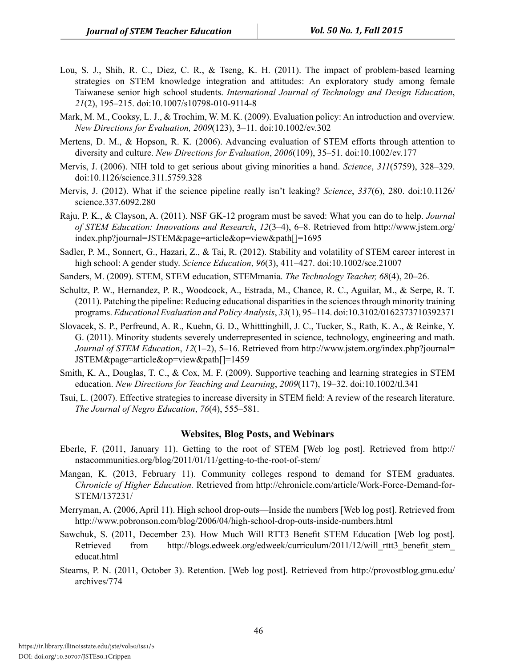- Lou, S. J., Shih, R. C., Diez, C. R., & Tseng, K. H. (2011). The impact of problem-based learning strategies on STEM knowledge integration and attitudes: An exploratory study among female Taiwanese senior high school students. *International Journal of Technology and Design Education*, *21*(2), 195–215. doi:10.1007/s10798-010-9114-8
- Mark, M. M., Cooksy, L. J., & Trochim, W. M. K. (2009). Evaluation policy: An introduction and overview. *New Directions for Evaluation, 2009*(123), 3–11. doi:10.1002/ev.302
- Mertens, D. M., & Hopson, R. K. (2006). Advancing evaluation of STEM efforts through attention to diversity and culture. *New Directions for Evaluation*, *2006*(109), 35–51. doi:10.1002/ev.177
- Mervis, J. (2006). NIH told to get serious about giving minorities a hand. *Science*, *311*(5759), 328–329. doi:10.1126/science.311.5759.328
- Mervis, J. (2012). What if the science pipeline really isn't leaking? *Science*, *337*(6), 280. doi:10.1126/ science.337.6092.280
- Raju, P. K., & Clayson, A. (2011). NSF GK-12 program must be saved: What you can do to help. *Journal of STEM Education: Innovations and Research*, *12*(3–4), 6–8. Retrieved from http://www.jstem.org/ index.php?journal=JSTEM&page=article&op=view&path[]=1695
- Sadler, P. M., Sonnert, G., Hazari, Z., & Tai, R. (2012). Stability and volatility of STEM career interest in high school: A gender study. *Science Education*, *96*(3), 411–427. doi:10.1002/sce.21007
- Sanders, M. (2009). STEM, STEM education, STEMmania. *The Technology Teacher, 68*(4), 20–26.
- Schultz, P. W., Hernandez, P. R., Woodcock, A., Estrada, M., Chance, R. C., Aguilar, M., & Serpe, R. T. (2011). Patching the pipeline: Reducing educational disparities in the sciences through minority training programs. *Educational Evaluation and Policy Analysis*, *33*(1), 95–114. doi:10.3102/0162373710392371
- Slovacek, S. P., Perfreund, A. R., Kuehn, G. D., Whitttinghill, J. C., Tucker, S., Rath, K. A., & Reinke, Y. G. (2011). Minority students severely underrepresented in science, technology, engineering and math. *Journal of STEM Education*, *12*(1–2), 5–16. Retrieved from http://www.jstem.org/index.php?journal= JSTEM&page=article&op=view&path[]=1459
- Smith, K. A., Douglas, T. C., & Cox, M. F. (2009). Supportive teaching and learning strategies in STEM education. *New Directions for Teaching and Learning*, *2009*(117), 19–32. doi:10.1002/tl.341
- Tsui, L. (2007). Effective strategies to increase diversity in STEM field: A review of the research literature. *The Journal of Negro Education*, *76*(4), 555–581.

#### **Websites, Blog Posts, and Webinars**

- Eberle, F. (2011, January 11). Getting to the root of STEM [Web log post]. Retrieved from http:// nstacommunities.org/blog/2011/01/11/getting-to-the-root-of-stem/
- Mangan, K. (2013, February 11). Community colleges respond to demand for STEM graduates. *Chronicle of Higher Education.* Retrieved from http://chronicle.com/article/Work-Force-Demand-for-STEM/137231/
- Merryman, A. (2006, April 11). High school drop-outs—Inside the numbers [Web log post]. Retrieved from http://www.pobronson.com/blog/2006/04/high-school-drop-outs-inside-numbers.html
- Sawchuk, S. (2011, December 23). How Much Will RTT3 Benefit STEM Education [Web log post]. Retrieved from http://blogs.edweek.org/edweek/curriculum/2011/12/will\_rttt3\_benefit\_stem educat.html
- Stearns, P. N. (2011, October 3). Retention. [Web log post]. Retrieved from http://provostblog.gmu.edu/ archives/774